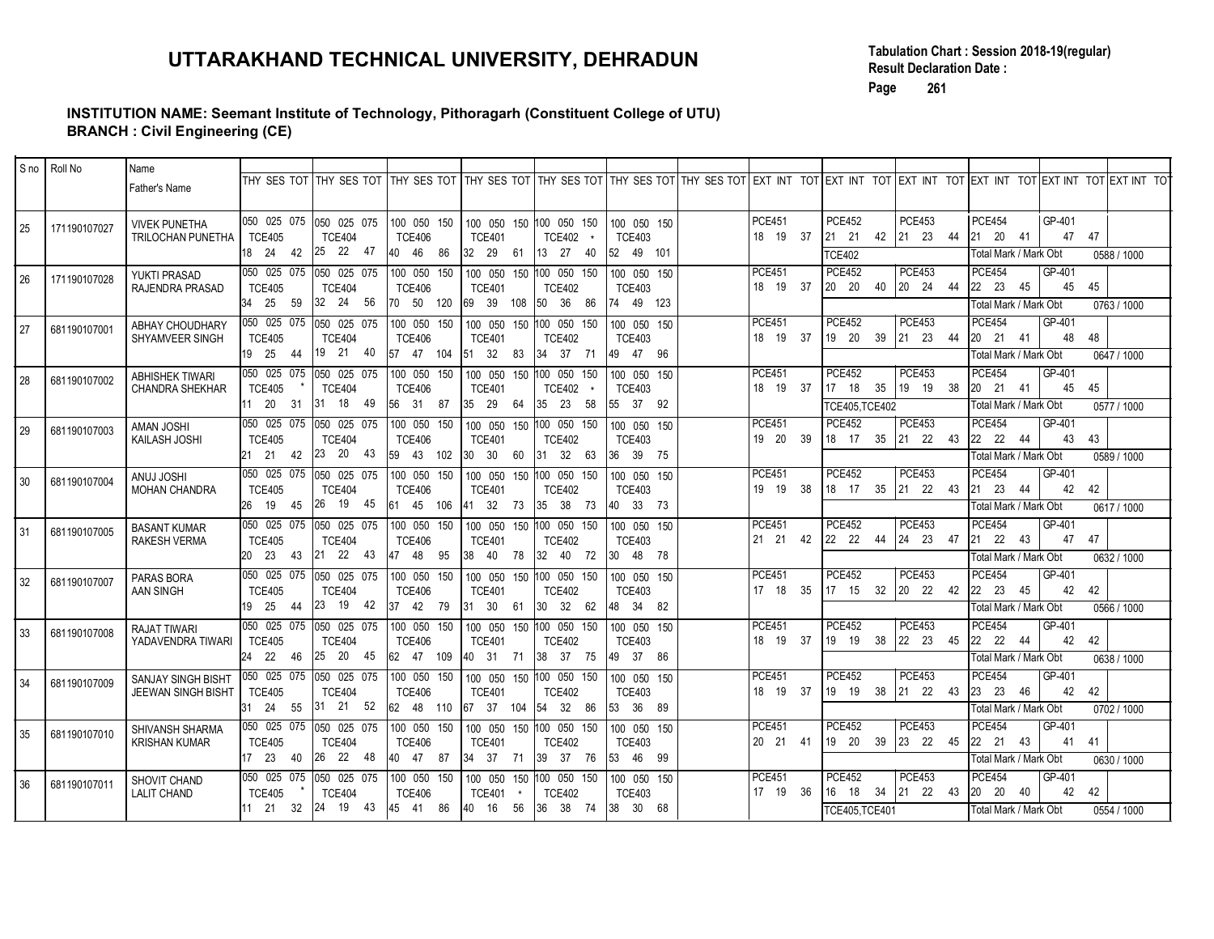### INSTITUTION NAME: Seemant Institute of Technology, Pithoragarh (Constituent College of UTU) BRANCH : Civil Engineering (CE)

|                                   |                      | INSTITUTION NAME: Seemant Institute of Technology, Pithoragarh (Constituent College of UTU) |                           |                                                        | UTTARAKHAND TECHNICAL UNIVERSITY, DEHRADUN                                                                                                                                                                         |                                                          |                           |                                           |                                            | Page                                                                                                       | <b>Result Declaration Date:</b><br>261                                                  | Tabulation Chart: Session 2018-19(regular)                                                                                                      |             |
|-----------------------------------|----------------------|---------------------------------------------------------------------------------------------|---------------------------|--------------------------------------------------------|--------------------------------------------------------------------------------------------------------------------------------------------------------------------------------------------------------------------|----------------------------------------------------------|---------------------------|-------------------------------------------|--------------------------------------------|------------------------------------------------------------------------------------------------------------|-----------------------------------------------------------------------------------------|-------------------------------------------------------------------------------------------------------------------------------------------------|-------------|
|                                   | $ $ S no $ $ Roll No | <b>BRANCH : Civil Engineering (CE)</b><br>Name                                              |                           |                                                        |                                                                                                                                                                                                                    |                                                          |                           |                                           |                                            |                                                                                                            |                                                                                         |                                                                                                                                                 |             |
|                                   |                      | Father's Name                                                                               |                           | THY SES TOT THY SES TOT                                |                                                                                                                                                                                                                    |                                                          |                           |                                           |                                            |                                                                                                            |                                                                                         | THY SES TOT THY SES TOT THY SES TOT THY SES TOT THY SES TOT EXT INT TOT EXT INT TOT EXT INT TOT EXT INT TOT EXT INT TOT EXT INT TOT EXT INT TOT |             |
| 25                                | 171190107027         | <b>VIVEK PUNETHA</b><br>TRILOCHAN PUNETHA                                                   | <b>TCE405</b><br>18 24 42 | 050 025 075 050 025 075<br><b>TCE404</b><br>25  22  47 | 100 050 150<br><b>TCE406</b><br>40 46 86                                                                                                                                                                           | 100 050 150 100 050 150<br><b>TCE401</b><br>32 29 61     | <b>TCE402</b><br>13 27 40 | 100 050 150<br><b>TCE403</b><br>52 49 101 | <b>PCE451</b><br>18  19  37                | <b>PCE452</b><br>$\begin{vmatrix} 21 & 21 \end{vmatrix}$<br><b>TCE402</b>                                  | <b>PCE453</b><br>42 21 23 44                                                            | PCE454<br>GP-401<br>21 20 41<br>47<br>47<br>Total Mark / Mark Obt                                                                               | 0588 / 1000 |
| 26                                | 171190107028         | YUKTI PRASAD<br>RAJENDRA PRASAD                                                             | <b>TCE405</b><br>34 25 59 | 050 025 075 050 025 075<br><b>TCE404</b><br>32 24 56   | 100 050 150<br><b>TCE406</b><br>70 50 120 69 39 108 50 36 86                                                                                                                                                       | 100 050 150 100 050 150<br><b>TCE401</b>                 | <b>TCE402</b>             | 100 050 150<br><b>TCE403</b><br>74 49 123 | <b>PCE451</b><br>18  19  37                | <b>PCE452</b><br>$\begin{vmatrix} 20 & 20 \end{vmatrix}$                                                   | PCE453<br>40 20 24 44                                                                   | GP-401<br><b>PCE454</b><br>45<br>22 23 45<br>45<br>Total Mark / Mark Obt                                                                        | 0763 / 1000 |
| 27                                | 681190107001         | ABHAY CHOUDHARY<br>SHYAMVEER SINGH                                                          | <b>TCE405</b><br>19 25 44 | 050 025 075 050 025 075<br><b>TCE404</b><br>19 21 40   | 100 050 150<br><b>TCE406</b><br>57 47 104 51 32 83 34 37 71                                                                                                                                                        | 100 050 150 100 050 150<br><b>TCE401</b>                 | <b>TCE402</b>             | 100 050 150<br><b>TCE403</b><br>49 47 96  | <b>PCE451</b><br>18 19 37                  | <b>PCE452</b><br>19 20                                                                                     | <b>PCE453</b><br>39 21 23 44                                                            | <b>PCE454</b><br>GP-401<br>48<br>48<br>20 21 41<br>Total Mark / Mark Obt                                                                        | 0647 / 1000 |
| 28                                | 681190107002         | <b>ABHISHEK TIWARI</b><br><b>CHANDRA SHEKHAR</b>                                            | <b>TCE405</b><br>11 20 31 | 050 025 075 050 025 075<br><b>TCE404</b><br>31 18 49   | 100 050 150<br><b>TCE406</b><br>56 31 87 35 29 64                                                                                                                                                                  | 100 050 150 100 050 150<br><b>TCE401</b>                 | TCE402<br>35 23 58        | 100 050 150<br><b>TCE403</b><br>55 37 92  | <b>PCE451</b><br>18 19 37                  | <b>PCE452</b><br>$17 \quad 18$<br>TCE405, TCE402                                                           | PCE453<br>35 19 19 38                                                                   | <b>PCE454</b><br>GP-401<br>20 21 41<br>45<br>45<br>Total Mark / Mark Obt                                                                        | 0577 / 1000 |
| 29                                | 681190107003         | <b>AMAN JOSHI</b><br>KAILASH JOSHI                                                          | <b>TCE405</b><br>21 21 42 | 050 025 075 050 025 075<br><b>TCE404</b>               | 100 050 150<br><b>TCE406</b><br>23 20 43 59 43 102 30 30 60 31 32 63 36 39 75                                                                                                                                      | 100 050 150 100 050 150<br><b>TCE401</b>                 | TCE402                    | 100 050 150<br><b>TCE403</b>              | <b>PCE451</b><br>19 20 39                  | <b>PCE452</b><br>18 17                                                                                     | PCE453<br>35 21 22 43                                                                   | GP-401<br>PCE454<br>43<br>22 22 44<br>43<br>Total Mark / Mark Obt                                                                               | 0589 / 1000 |
| $\vert$ 30                        | 681190107004         | <b>HISOL LUMA</b><br><b>MOHAN CHANDRA</b>                                                   | <b>TCE405</b>             | <b>TCE404</b>                                          | 050 025 075 050 025 075 100 050 150 100 050 150 100 050 150 100 050 150<br><b>TCE406</b><br>26 19 45 26 19 45 61 45 106 41 32 73 35 38 73 40 33 73                                                                 | <b>TCE401</b>                                            | <b>TCE402</b>             | <b>TCE403</b>                             | <b>PCE451</b><br>19 19 38                  | <b>PCE452</b>                                                                                              | <b>PCE453</b>                                                                           | PCE454<br>GP-401<br>42 42<br>121 23 44<br>Total Mark / Mark Obt                                                                                 | 0617 / 1000 |
| $\begin{array}{c} 31 \end{array}$ | 681190107005         | <b>BASANT KUMAR</b><br><b>RAKESH VERMA</b>                                                  | <b>TCE405</b>             | 050 025 075  050 025 075  <br><b>TCE404</b>            | 100 050 150<br><b>TCE406</b><br>20 23 43 21 22 43 47 48 95 38 40 78 32 40 72 30 48 78                                                                                                                              | 100 050 150 100 050 150<br><b>TCE401</b>                 | <b>TCE402</b>             | 100 050 150<br><b>TCE403</b>              | <b>PCE451</b><br>21 21 42                  | <b>PCE452</b><br>$\begin{vmatrix} 22 & 22 & 44 \end{vmatrix}$ $\begin{vmatrix} 24 & 23 & 47 \end{vmatrix}$ | <b>PCE453</b>                                                                           | <b>PCE454</b><br>GP-401<br>$21 \t 22 \t 43$<br>47 47<br>Total Mark / Mark Obt                                                                   | 0632 / 1000 |
| $ 32\rangle$                      | 681190107007         | PARAS BORA<br>AAN SINGH                                                                     | <b>TCE405</b>             | <b>TCE404</b>                                          | 050 025 075 050 025 075 100 050 150 100 050 150 100 050 150 100 050 150<br><b>TCE406</b><br>19 25 44 23 19 42 37 42 79 31 30 61 30 32 62 48 34 82                                                                  | <b>TCE401</b>                                            | <b>TCE402</b>             | <b>TCE403</b>                             | <b>PCE451</b><br>17 18 35                  | <b>PCE452</b>                                                                                              | <b>PCE453</b><br>$\begin{vmatrix} 17 & 15 & 32 \end{vmatrix}$ 20 22 42                  | <b>PCE454</b><br>GP-401<br>$\begin{vmatrix} 22 & 23 & 45 \end{vmatrix}$<br>42 42<br>Total Mark / Mark Obt                                       | 0566 / 1000 |
| $\begin{array}{c} 33 \end{array}$ | 681190107008         | <b>RAJAT TIWARI</b><br>YADAVENDRA TIWARI                                                    | <b>TCE405</b>             | 050 025 075 050 025 075<br><b>TCE404</b>               | <b>TCE406</b><br>24 22 46 25 20 45 62 47 109 40 31 71 38 37 75 49 37 86                                                                                                                                            | 100 050 150   100 050 150   100 050 150<br><b>TCE401</b> | <b>TCE402</b>             | 100 050 150<br><b>TCE403</b>              | <b>PCE451</b><br>18 19 37                  | <b>PCE452</b><br>$\begin{vmatrix} 19 & 19 & 38 \end{vmatrix}$ 22 23 45                                     | <b>PCE453</b>                                                                           | GP-401<br><b>PCE454</b><br>22 22 44<br>42 42<br>Total Mark / Mark Obt                                                                           | 0638 / 1000 |
| $\vert 34 \vert$                  | 681190107009         | SANJAY SINGH BISHT<br>JEEWAN SINGH BISHT                                                    | <b>TCE405</b>             | <b>TCE404</b>                                          | 050 025 075 050 025 075 100 050 150 100 050 150 100 050 150 100 050 150<br><b>TCE406</b><br>31 24 55 31 21 52 62 48 110 67 37 104 54 32 86 53 36 89<br>050 025 075 050 025 075 100 050 150 100 050 150 100 050 150 | <b>TCE401</b>                                            | <b>TCE402</b>             | <b>TCE403</b>                             | <b>PCE451</b><br>18 19 37<br><b>PCE451</b> | <b>PCE452</b><br><b>PCE452</b>                                                                             | <b>PCE453</b><br>$\begin{vmatrix} 19 & 19 & 38 \end{vmatrix}$ 21 22 43<br><b>PCE453</b> | GP-401<br>PCE454<br>23 23 46<br>42<br>42<br>Total Mark / Mark Obt<br><b>PCE454</b><br>GP-401                                                    | 0702 / 1000 |
| 35                                | 681190107010         | SHIVANSH SHARMA<br><b>KRISHAN KUMAR</b>                                                     | <b>TCE405</b>             | <b>TCE404</b>                                          | <b>TCE406</b><br>17 23 40 26 22 48 40 47 87 34 37 71 39 37 76 53 46 99<br>050 025 075 050 025 075 100 050 150 100 050 150 100 050 150   100 050 150                                                                | <b>TCE401</b>                                            | <b>TCE402</b>             | 100 050 150<br><b>TCE403</b>              | 20 21 41<br><b>PCE451</b>                  | <b>PCE452</b>                                                                                              | $\begin{vmatrix} 19 & 20 & 39 \end{vmatrix}$ 23 22 45<br><b>PCE453</b>                  | 22 21 43<br>41 41<br>Total Mark / Mark Obt<br>GP-401<br><b>PCE454</b>                                                                           | 0630 / 1000 |
| 36                                | 681190107011         | SHOVIT CHAND<br>LALIT CHAND                                                                 | <b>TCE405</b>             | <b>TCE404</b>                                          | <b>TCE406</b>                                                                                                                                                                                                      | TCE401 *                                                 | <b>TCE402</b>             | <b>TCE403</b>                             | 17 19 36                                   | TCE405, TCE401                                                                                             | $16$ 18 34 21 22 43                                                                     | 20 20 40<br>42 42<br>Total Mark / Mark Obt                                                                                                      | 0554 / 1000 |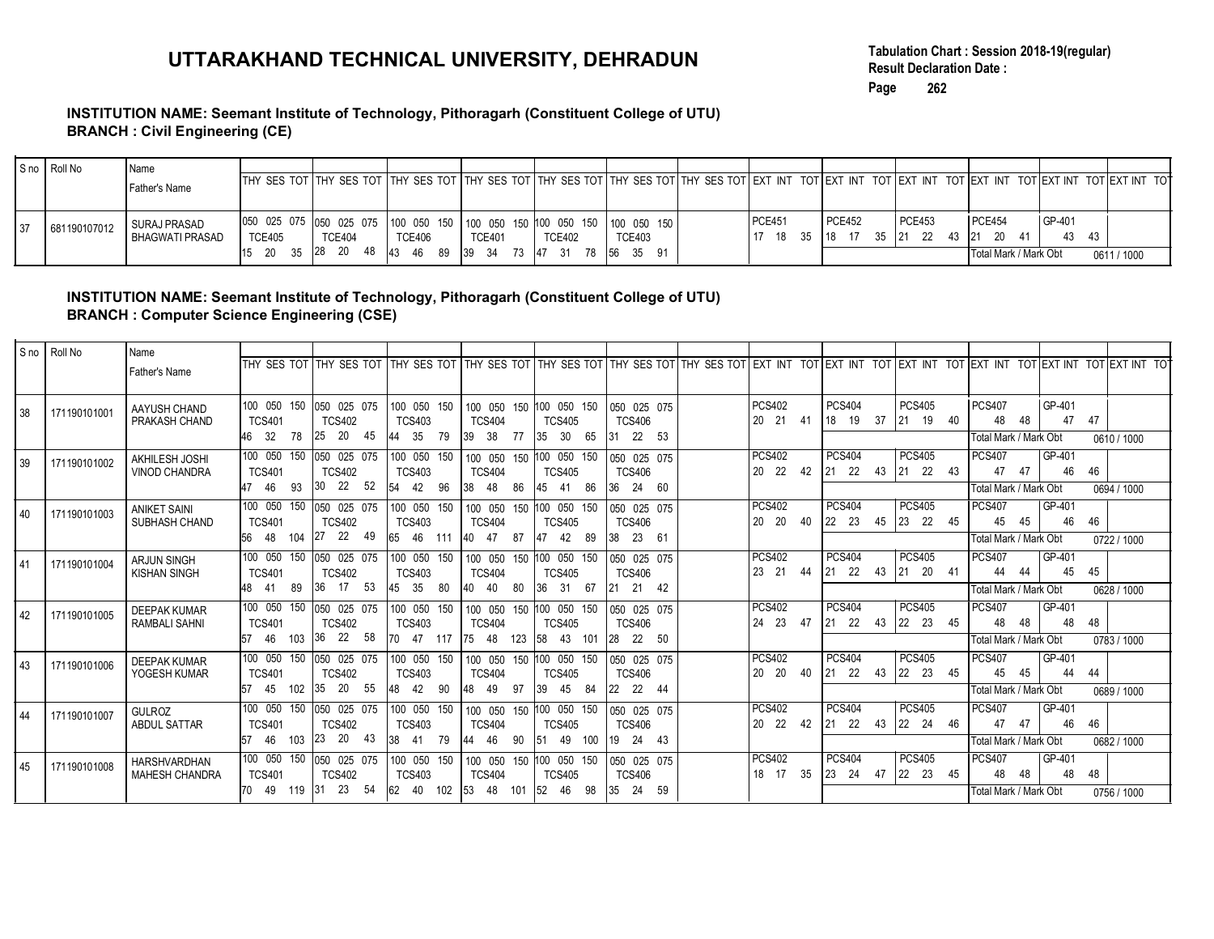### INSTITUTION NAME: Seemant Institute of Technology, Pithoragarh (Constituent College of UTU) BRANCH : Civil Engineering (CE)

|    |              |                                       |                                                                                                                                                                                     |               |                                                      |               |               |               |        |                                        | Tabulation Chart: Session 2018-19(regular) |        |             |
|----|--------------|---------------------------------------|-------------------------------------------------------------------------------------------------------------------------------------------------------------------------------------|---------------|------------------------------------------------------|---------------|---------------|---------------|--------|----------------------------------------|--------------------------------------------|--------|-------------|
|    |              |                                       | UTTARAKHAND TECHNICAL UNIVERSITY, DEHRADUN                                                                                                                                          |               |                                                      |               |               |               | Page   | <b>Result Declaration Date:</b><br>262 |                                            |        |             |
|    |              |                                       | INSTITUTION NAME: Seemant Institute of Technology, Pithoragarh (Constituent College of UTU)                                                                                         |               |                                                      |               |               |               |        |                                        |                                            |        |             |
|    |              | <b>BRANCH: Civil Engineering (CE)</b> |                                                                                                                                                                                     |               |                                                      |               |               |               |        |                                        |                                            |        |             |
|    |              |                                       |                                                                                                                                                                                     |               |                                                      |               |               |               |        |                                        |                                            |        |             |
|    | S no Roll No | l Name                                |                                                                                                                                                                                     |               |                                                      |               |               |               |        |                                        |                                            |        |             |
|    |              | l Father's Name                       | THY SES TOT THY SES TOT THY SES TOT THY SES TOT THY SES TOT THY SES TOT THY SES TOT EXT INT TOT EXT INT TOT EXT INT TOT EXT INT TOT EXT INT TOT EXT INT TOT EXT INT TOT EXT INT TOT |               |                                                      |               |               |               |        |                                        |                                            |        |             |
| 37 | 681190107012 | SURAJ PRASAD                          | 050 025 075 050 025 075                                                                                                                                                             | 100 050 150   | 100 050 150 100 050 150                              |               | 100 050 150   | <b>PCE451</b> | PCE452 | <b>PCE453</b>                          | PCE454                                     | GP-401 |             |
|    |              | BHAGWATI PRASAD                       | <b>TCE405</b><br><b>TCE404</b><br>15 20 35 28 20 48                                                                                                                                 | <b>TCE406</b> | <b>TCE401</b><br>43 46 89 39 34 73 47 31 78 56 35 91 | <b>TCE402</b> | <b>TCE403</b> |               |        | 17 18 35 18 17 35 21 22 43             | 21 20 41<br>Total Mark / Mark Obt          | 43 43  | 0611 / 1000 |
|    |              |                                       |                                                                                                                                                                                     |               |                                                      |               |               |               |        |                                        |                                            |        |             |
|    |              |                                       | INSTITUTION NAME: Seemant Institute of Technology, Pithoragarh (Constituent College of UTU)                                                                                         |               |                                                      |               |               |               |        |                                        |                                            |        |             |
|    | انتصاصا      |                                       | <b>BRANCH: Computer Science Engineering (CSE)</b>                                                                                                                                   |               |                                                      |               |               |               |        |                                        |                                            |        |             |

### INSTITUTION NAME: Seemant Institute of Technology, Pithoragarh (Constituent College of UTU) BRANCH : Computer Science Engineering (CSE)

|    |              |                                              | UTTARAKHAND TECHNICAL UNIVERSITY, DEHRADUN                                                                                                                                                  |                                                            |                                                      |                             |                                                      |                                    |                                 | Page   | 262                       | Tabulation Chart: Session 2018-19(regular)<br><b>Result Declaration Date:</b>                       |                                |                   |                   |
|----|--------------|----------------------------------------------|---------------------------------------------------------------------------------------------------------------------------------------------------------------------------------------------|------------------------------------------------------------|------------------------------------------------------|-----------------------------|------------------------------------------------------|------------------------------------|---------------------------------|--------|---------------------------|-----------------------------------------------------------------------------------------------------|--------------------------------|-------------------|-------------------|
|    |              | <b>BRANCH: Civil Engineering (CE)</b>        | INSTITUTION NAME: Seemant Institute of Technology, Pithoragarh (Constituent College of UTU)                                                                                                 |                                                            |                                                      |                             |                                                      |                                    |                                 |        |                           |                                                                                                     |                                |                   |                   |
|    | S no Roll No | Name<br>Father's Name                        | THY SES TOT THY SES TOT THY SES TOT THY SES TOT THY SES TOT THY SES TOT THY SES TOT EXT INT TOT EXT INT TOT EXT INT TOT EXT INT TOT EXT INT TOT EXT INT TOT EXT INT TOT EXT INT TOT EXT INT |                                                            |                                                      |                             |                                                      |                                    |                                 |        |                           |                                                                                                     |                                |                   |                   |
| 37 | 681190107012 | SURAJ PRASAD<br><b>BHAGWATI PRASAD</b>       | 050 025 075 050 025 075<br><b>TCE405</b><br><b>TCE404</b><br>15 20 35 28 20 48 43 46 89 39 34 73 47 31 78 56 35 91                                                                          | 100 050 150<br><b>TCE406</b>                               | 100 050 150 100 050 150<br><b>TCE401</b>             | <b>TCE402</b>               | 100 050 150<br><b>TCE403</b>                         | <b>PCE451</b><br>17 18 35 18 17 35 | <b>PCE452</b>                   |        | <b>PCE453</b>             | PCE454<br>$\begin{vmatrix} 21 & 22 & 43 \end{vmatrix}$ $\begin{vmatrix} 21 & 20 & 41 \end{vmatrix}$ | Total Mark / Mark Obt          | GP-401<br>43      | 43<br>0611 / 1000 |
|    |              |                                              | INSTITUTION NAME: Seemant Institute of Technology, Pithoragarh (Constituent College of UTU)<br><b>BRANCH: Computer Science Engineering (CSE)</b>                                            |                                                            |                                                      |                             |                                                      |                                    |                                 |        |                           |                                                                                                     |                                |                   |                   |
|    | S no Roll No | Name<br>Father's Name                        | THY SES TOT THY SES TOT THY SES TOT THY SES TOT THY SES TOT THY SES TOT THY SES TOT EXT INT TOT EXT INT TOT EXT INT TOT EXT INT TOT EXT INT TOT EXT INT TOT EXT INT TOT EXT INT TOT EXT INT |                                                            |                                                      |                             |                                                      |                                    |                                 |        |                           |                                                                                                     |                                |                   |                   |
| 38 | 171190101001 | AAYUSH CHAND<br>PRAKASH CHAND                | 100 050 150 050 025 075<br><b>TCS401</b><br><b>TCS402</b><br>46 32 78<br>25 20 45                                                                                                           | 100 050 150<br><b>TCS403</b><br>44 35 79 39 38 77 35 30 65 | 100 050 150 100 050 150<br><b>TCS404</b>             | <b>TCS405</b>               | 050 025 075<br><b>TCS406</b><br>31 22 53             | <b>PCS402</b><br>20 21 41          | <b>PCS404</b><br>$18 \t19 \t37$ |        | <b>PCS405</b><br>21 19 40 | <b>PCS407</b><br>48                                                                                 | 48<br>Total Mark / Mark Obt    | GP-401<br>47      | 47<br>0610 / 1000 |
| 39 | 171190101002 | AKHILESH JOSHI<br><b>VINOD CHANDRA</b>       | 100 050 150 050 025 075 100 050 150<br><b>TCS401</b><br><b>TCS402</b><br>30  22  52<br>47 46 93                                                                                             | <b>TCS403</b><br>54 42 96                                  | 100 050 150 100 050 150<br><b>TCS404</b><br>38 48 86 | <b>TCS405</b><br>45 41 86   | 050 025 075<br><b>TCS406</b><br>36 24 60             | <b>PCS402</b><br>20  22  42        | <b>PCS404</b><br>21 22 43       |        | <b>PCS405</b><br>21 22 43 | <b>PCS407</b><br>47                                                                                 | 47<br>Total Mark / Mark Obt    | GP-401<br>46      | 46<br>0694 / 1000 |
| 40 | 171190101003 | ANIKET SAINI<br>SUBHASH CHAND                | 100 050 150<br>050 025 075<br><b>TCS401</b><br><b>TCS402</b><br>27  22  49<br>56 48 104                                                                                                     | 100 050 150<br><b>TCS403</b><br>65 46 111                  | 100 050 150 100 050 150<br><b>TCS404</b><br>40 47 87 | <b>TCS405</b><br>47  42  89 | 050 025 075<br><b>TCS406</b><br>38 23 61             | <b>PCS402</b><br>20 20 40          | <b>PCS404</b><br>22 23 45       |        | <b>PCS405</b><br>23 22 45 | <b>PCS407</b><br>45                                                                                 | 45<br>Total Mark / Mark Obt    | GP-401<br>46      | 46<br>0722 / 1000 |
| 41 | 171190101004 | ARJUN SINGH<br><b>KISHAN SINGH</b>           | 100 050 150 050 025 075 100 050 150<br><b>TCS401</b><br><b>TCS402</b><br>36 17 53 45 35 80<br>48 41 89                                                                                      | <b>TCS403</b>                                              | 100 050 150 100 050 150<br><b>TCS404</b><br>40 40 80 | <b>TCS405</b><br>36 31 67   | 050 025 075<br><b>TCS406</b><br>21 21 42             | <b>PCS402</b><br>23 21 44          | <b>PCS404</b><br>21 22 43       | PCS405 | 21 20 41                  | <b>PCS407</b><br>44                                                                                 | 44<br>Total Mark / Mark Obt    | GP-401<br>45      | 45<br>0628 / 1000 |
| 42 | 171190101005 | <b>DEEPAK KUMAR</b><br><b>RAMBALI SAHNI</b>  | 100 050 150 050 025 075 100 050 150<br><b>TCS401</b><br><b>TCS402</b><br>57 46 103 36 22 58 70 47 117 75 48 123 58 43 101 28 22 50                                                          | <b>TCS403</b>                                              | 100 050 150 100 050 150<br><b>TCS404</b>             | <b>TCS405</b>               | 050 025 075<br><b>TCS406</b>                         | <b>PCS402</b><br>24 23 47          | <b>PCS404</b><br>21 22 43       |        | <b>PCS405</b><br>22 23 45 | <b>PCS407</b><br>48                                                                                 | 48<br>Total Mark / Mark Obt    | GP-401<br>48      | 48<br>0783 / 1000 |
| 43 | 171190101006 | DEEPAK KUMAR<br>YOGESH KUMAR                 | 100 050 150 050 025 075 100 050 150 100 050 150 100 050 150 060 025 075<br><b>TCS401</b><br><b>TCS402</b><br>57 45 102 35 20 55 48 42 90                                                    | <b>TCS403</b>                                              | <b>TCS404</b><br>48 49 97 39 45 84 22 22 44          | <b>TCS405</b>               | <b>TCS406</b>                                        | <b>PCS402</b><br>20 20 40 21 22 43 | <b>PCS404</b>                   |        | <b>PCS405</b><br>22 23 45 | <b>PCS407</b>                                                                                       | 45 45<br>Total Mark / Mark Obt | GP-401<br>44 44   | 0689 / 1000       |
| 44 | 171190101007 | <b>GULROZ</b><br>ABDUL SATTAR                | 100 050 150 050 025 075 100 050 150<br><b>TCS402</b><br><b>TCS401</b><br>57 46 103 23 20 43 38 41 79 44 46 90 51 49 100 19 24 43                                                            | <b>TCS403</b>                                              | <b>TCS404</b>                                        | <b>TCS405</b>               | 100 050 150 100 050 150 050 025 075<br><b>TCS406</b> | <b>PCS402</b><br>20 22 42 21 22 43 | <b>PCS404</b>                   |        | <b>PCS405</b><br>22 24 46 | <b>PCS407</b>                                                                                       | 47 47<br>Total Mark / Mark Obt | $GP-401$<br>46 46 | 0682 / 1000       |
| 45 | 171190101008 | <b>HARSHVARDHAN</b><br><b>MAHESH CHANDRA</b> | 100 050 150  050 025 075  100 050 150  100 050 150  100 050 150  050 025 075<br><b>TCS401</b><br><b>TCS402</b><br>70 49 119 31 23 54 62 40 102 53 48 101 52 46 98 35 24 59                  | <b>TCS403</b>                                              | <b>TCS404</b>                                        | <b>TCS405</b>               | <b>TCS406</b>                                        | <b>PCS402</b><br>18 17 35 23 24 47 | <b>PCS404</b>                   |        | <b>PCS405</b><br>22 23 45 | <b>PCS407</b>                                                                                       | 48 48<br>Total Mark / Mark Obt | GP-401<br>48 48   | 0756 / 1000       |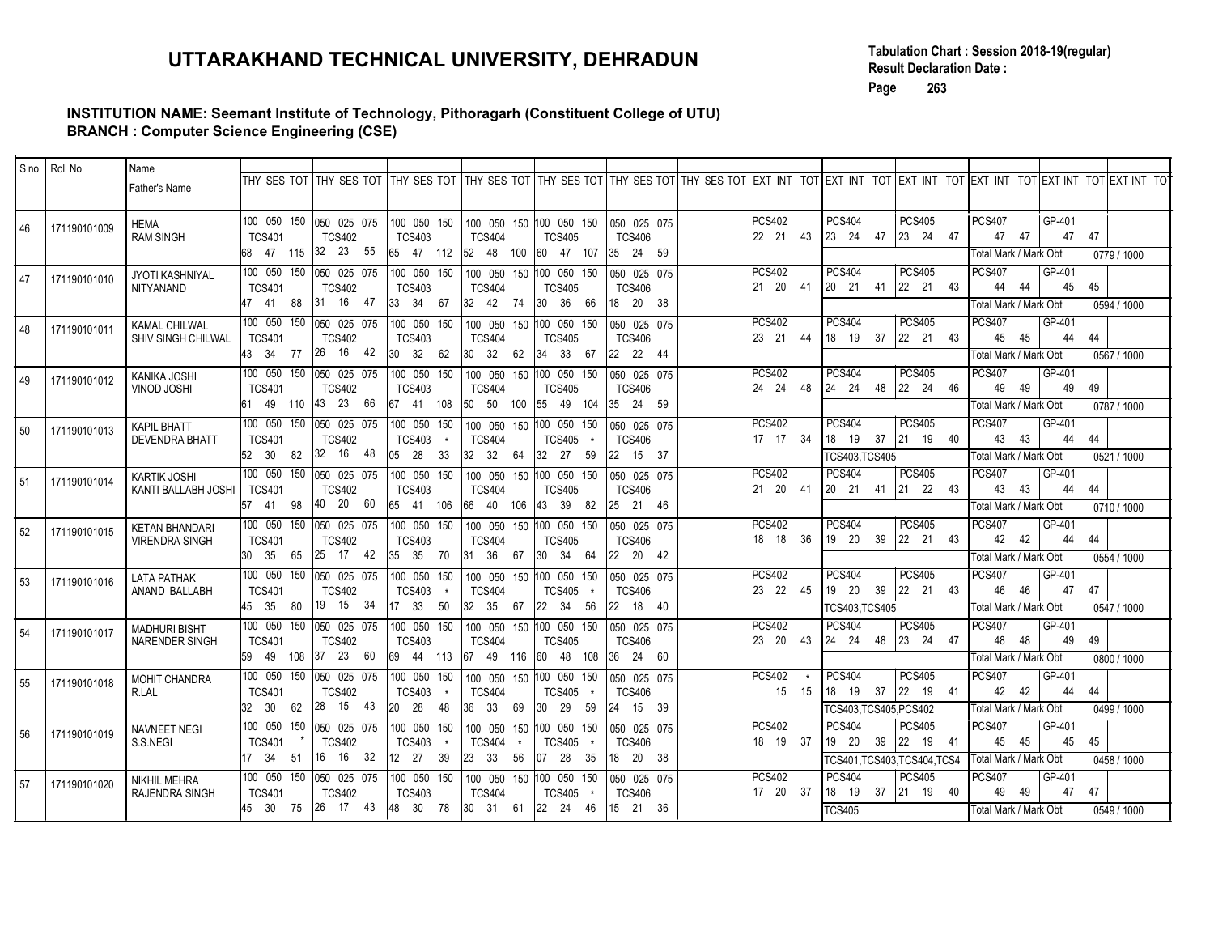### INSTITUTION NAME: Seemant Institute of Technology, Pithoragarh (Constituent College of UTU) BRANCH : Computer Science Engineering (CSE)

|    |              |                                                | UTTARAKHAND TECHNICAL UNIVERSITY, DEHRADUN<br>INSTITUTION NAME: Seemant Institute of Technology, Pithoragarh (Constituent College of UTU)                                                                              |                                          |                                                                                            |                              |                                          |                             | Page                                                                                                                       | <b>Result Declaration Date:</b><br>263 |                     |                                    | Tabulation Chart: Session 2018-19(regular) |             |
|----|--------------|------------------------------------------------|------------------------------------------------------------------------------------------------------------------------------------------------------------------------------------------------------------------------|------------------------------------------|--------------------------------------------------------------------------------------------|------------------------------|------------------------------------------|-----------------------------|----------------------------------------------------------------------------------------------------------------------------|----------------------------------------|---------------------|------------------------------------|--------------------------------------------|-------------|
|    | S no Roll No | Name                                           | <b>BRANCH: Computer Science Engineering (CSE)</b>                                                                                                                                                                      |                                          |                                                                                            |                              |                                          |                             |                                                                                                                            |                                        |                     |                                    |                                            |             |
|    |              | Father's Name                                  | THY SES TOT THY SES TOT THY SES TOT THY SES TOT THY SES TOT THY SES TOT THY SES TOT EXT INT TOT EXT INT TOT EXT INT TOT EXT INT TOT EXT INT TOT EXT INT TOT EXT INT TOT EXT INT TOT EXT INT TOT EXT INT TOT EXT INT TO |                                          |                                                                                            |                              |                                          |                             |                                                                                                                            |                                        |                     |                                    |                                            |             |
| 46 | 171190101009 | HEMA<br><b>RAM SINGH</b>                       | 100 050 150 050 025 075<br><b>TCS401</b><br><b>TCS402</b><br>68 47 115 32 23 55                                                                                                                                        | 100 050 150<br><b>TCS403</b>             | 100 050 150 100 050 150<br><b>TCS404</b><br>  65 47 112   52 48 100   60 47 107   35 24 59 | <b>TCS405</b>                | 050 025 075<br><b>TCS406</b>             | <b>PCS402</b><br>22 21 43   | <b>PCS404</b><br>$\begin{vmatrix} 23 & 24 & 47 \end{vmatrix}$                                                              | <b>PCS405</b><br>23 24 47              | <b>PCS407</b><br>47 | 47<br>Total Mark / Mark Obt        | GP-401<br>47<br>47                         | 0779 / 1000 |
| 47 | 171190101010 | JYOTI KASHNIYAL<br><b>NITYANAND</b>            | 100 050 150 050 025 075<br><b>TCS401</b><br><b>TCS402</b><br>31 16 47<br>47 41 88                                                                                                                                      | 100 050 150<br><b>TCS403</b><br>33 34 67 | 100 050 150 100 050 150<br><b>TCS404</b><br>$32 \t 42 \t 74$                               | <b>TCS405</b><br>30 36 66    | 050 025 075<br><b>TCS406</b><br>18 20 38 | <b>PCS402</b><br>21  20  41 | <b>PCS404</b><br>20 21 41 22 21 43                                                                                         | <b>PCS405</b>                          | <b>PCS407</b>       | 44<br>-44<br>Fotal Mark / Mark Obt | GP-401<br>45<br>45                         | 0594 / 1000 |
| 48 | 171190101011 | KAMAL CHILWAL<br>SHIV SINGH CHILWAL            | 100 050 150<br>050 025 075<br><b>TCS401</b><br><b>TCS402</b>                                                                                                                                                           | 100 050 150<br><b>TCS403</b>             | 100 050 150<br><b>TCS404</b>                                                               | 100 050 150<br><b>TCS405</b> | 050 025 075<br><b>TCS406</b>             | <b>PCS402</b><br>23 21 44   | <b>PCS404</b><br>18 19 37 22 21 43                                                                                         | <b>PCS405</b>                          | <b>PCS407</b><br>45 | 45                                 | GP-401<br>44<br>44                         |             |
| 49 | 171190101012 | KANIKA JOSHI<br><b>VINOD JOSHI</b>             | 26 16 42<br>43 34 77<br>100 050 150 050 025 075<br><b>TCS401</b><br><b>TCS402</b>                                                                                                                                      | 30 32 62<br>100 050 150<br><b>TCS403</b> | $30 \t32 \t62$<br>100 050 150 100 050 150<br><b>TCS404</b>                                 | 34 33 67<br><b>TCS405</b>    | 22 22 44<br>050 025 075<br><b>TCS406</b> | <b>PCS402</b><br>24 24 48   | <b>PCS404</b><br>24 24 48 22 24 46                                                                                         | PCS405                                 | PCS407              | Total Mark / Mark Obt<br>49<br>49  | GP-401<br>49<br>49                         | 0567 / 1000 |
| 50 | 171190101013 | KAPIL BHATT                                    | 61 49 110 43 23 66<br>100 050 150 050 025 075                                                                                                                                                                          | 100 050 150                              | 67 41 108 50 50 100 55 49 104<br>100 050 150 100 050 150                                   |                              | 35 24 59<br>050 025 075                  | <b>PCS402</b><br>17 17 34   | <b>PCS404</b><br>18 19                                                                                                     | <b>PCS405</b><br>37 21 19 40           | <b>PCS407</b>       | Total Mark / Mark Obt<br>43<br>43  | GP-401<br>44<br>44                         | 0787 / 1000 |
|    |              | <b>DEVENDRA BHATT</b><br>KARTIK JOSHI          | <b>TCS401</b><br>TCS402<br>32 16 48<br>52 30 82                                                                                                                                                                        | <b>TCS403</b>                            | <b>TCS404</b>                                                                              | TCS405<br>32 27 59           | <b>TCS406</b><br>22 15 37                | <b>PCS402</b>               | TCS403,TCS405<br><b>PCS404</b>                                                                                             | <b>PCS405</b>                          | <b>PCS407</b>       | Total Mark / Mark Obt              | GP-401                                     | 0521 / 1000 |
| 51 | 171190101014 | KANTI BALLABH JOSHI                            | <b>TCS401</b><br><b>TCS402</b><br>57 41 98 40 20 60 65 41 106 66 40 106 43 39 82 25 21 46                                                                                                                              | <b>TCS403</b>                            | <b>TCS404</b>                                                                              | <b>TCS405</b>                | <b>TCS406</b>                            | 21 20 41                    |                                                                                                                            |                                        |                     | 43 43<br>Fotal Mark / Mark Obt     | 44 44                                      | 0710 / 1000 |
| 52 | 171190101015 | <b>KETAN BHANDARI</b><br><b>VIRENDRA SINGH</b> | 100 050 150 050 025 075  100 050 150<br><b>TCS401</b><br><b>TCS402</b><br>30 35 65 25 17 42 35 35 70 31 36 67 30 34 64 22 20 42                                                                                        | <b>TCS403</b>                            | 100 050 150 100 050 150 050 025 075<br><b>TCS404</b>                                       | <b>TCS405</b>                | TCS406                                   | <b>PCS402</b><br>18 18 36   | <b>PCS404</b><br>$\begin{vmatrix} 19 & 20 & 39 \end{vmatrix}$ 22 21 43                                                     | <b>PCS405</b>                          | PCS407              | 42 42<br>Total Mark / Mark Obt     | GP-401<br>44 44                            | 0554 / 1000 |
| 53 | 171190101016 | LATA PATHAK<br>ANAND BALLABH                   | 100 050 150 050 025 075 100 050 150<br><b>TCS401</b><br><b>TCS402</b><br>45 35 80 19 15 34 17 33 50 32 35 67 22 34 56 22 18 40                                                                                         | TCS403 *                                 | 100 050 150 100 050 150 050 025 075<br><b>TCS404</b>                                       | TCS405 *                     | TCS406                                   | <b>PCS402</b><br>23 22 45   | PCS404<br>19 20 39 22 21 43                                                                                                | <b>PCS405</b>                          | <b>PCS407</b>       | 46 46                              | GP-401<br>47 47                            |             |
| 54 | 171190101017 | <b>MADHURI BISHT</b><br>NARENDER SINGH         | 100 050 150 050 025 075 100 050 150 100 050 150 100 050 150  050 025 075<br><b>TCS401</b><br><b>TCS402</b>                                                                                                             | <b>TCS403</b>                            | <b>TCS404</b>                                                                              | <b>TCS405</b>                | <b>TCS406</b>                            | <b>PCS402</b><br>23 20 43   | TCS403,TCS405<br><b>PCS404</b><br>$\begin{array}{ c c c c c c c c } \hline 24 & 24 & 48 & 23 & 24 & 47 \hline \end{array}$ | <b>PCS405</b>                          | <b>PCS407</b>       | Total Mark / Mark Obt<br>48 48     | GP-401<br>49 49                            | 0547 / 1000 |
| 55 | 171190101018 | MOHIT CHANDRA                                  | 59 49 108 37 23 60 69 44 113 67 49 116 60 48 108 36 24 60                                                                                                                                                              |                                          |                                                                                            |                              |                                          | <b>PCS402</b><br>15 15      | <b>PCS404</b><br>$\begin{vmatrix} 18 & 19 & 37 \end{vmatrix}$ 22 19 41                                                     | PCS405                                 | <b>PCS407</b>       | Total Mark / Mark Obt<br>42 42     | GP-401<br>44<br>- 44                       | 0800 / 1000 |
|    |              | R.LAL<br>NAVNEET NEGI                          | <b>TCS401</b><br><b>TCS402</b><br>32 30 62 28 15 43 20 28 48 36 33 69 30 29 59 24 15 39<br> 100 050 150 050 025 075  100 050 150                                                                                       | TCS403 *                                 | <b>TCS404</b><br>  100 050 150 100 050 150   050 025 075                                   | TCS405 *                     | TCS406                                   | <b>PCS402</b>               | TCS403,TCS405,PCS402<br><b>PCS404</b>                                                                                      | <b>PCS405</b>                          | <b>PCS407</b>       | Total Mark / Mark Obt              | GP-401                                     | 0499 / 1000 |
| 56 | 171190101019 | S.S.NEGI                                       | <b>TCS401</b><br><b>TCS402</b><br>17 34 51 16 16 32 12 27 39 23 33 56 07 28 35 18 20 38                                                                                                                                | TCS403 *                                 | TCS404 *                                                                                   | TCS405 *                     | TCS406                                   | 18 19 37                    | $\begin{vmatrix} 19 & 20 & 39 \end{vmatrix}$ 22 19 41<br>TCS401,TCS403,TCS404,TCS4                                         |                                        |                     | 45 45<br>Total Mark / Mark Obt     | 45 45                                      | 0458 / 1000 |
| 57 | 171190101020 | NIKHIL MEHRA<br>RAJENDRA SINGH                 | 100 050 150 050 025 075  100 050 150  100 050 150  100 050 150  050 025 075  <br><b>TCS401</b><br><b>TCS402</b><br>45 30 75 26 17 43 48 30 78 30 31 61 22 24 46 15 21 36                                               | <b>TCS403</b>                            | <b>TCS404</b>                                                                              | TCS405 *                     | TCS406                                   | <b>PCS402</b><br>17 20 37   | <b>PCS404</b><br>18 19 37 21 19 40<br><b>TCS405</b>                                                                        | PCS405                                 | <b>PCS407</b>       | 49 49<br>Total Mark / Mark Obt     | GP-401<br>47 47                            | 0549 / 1000 |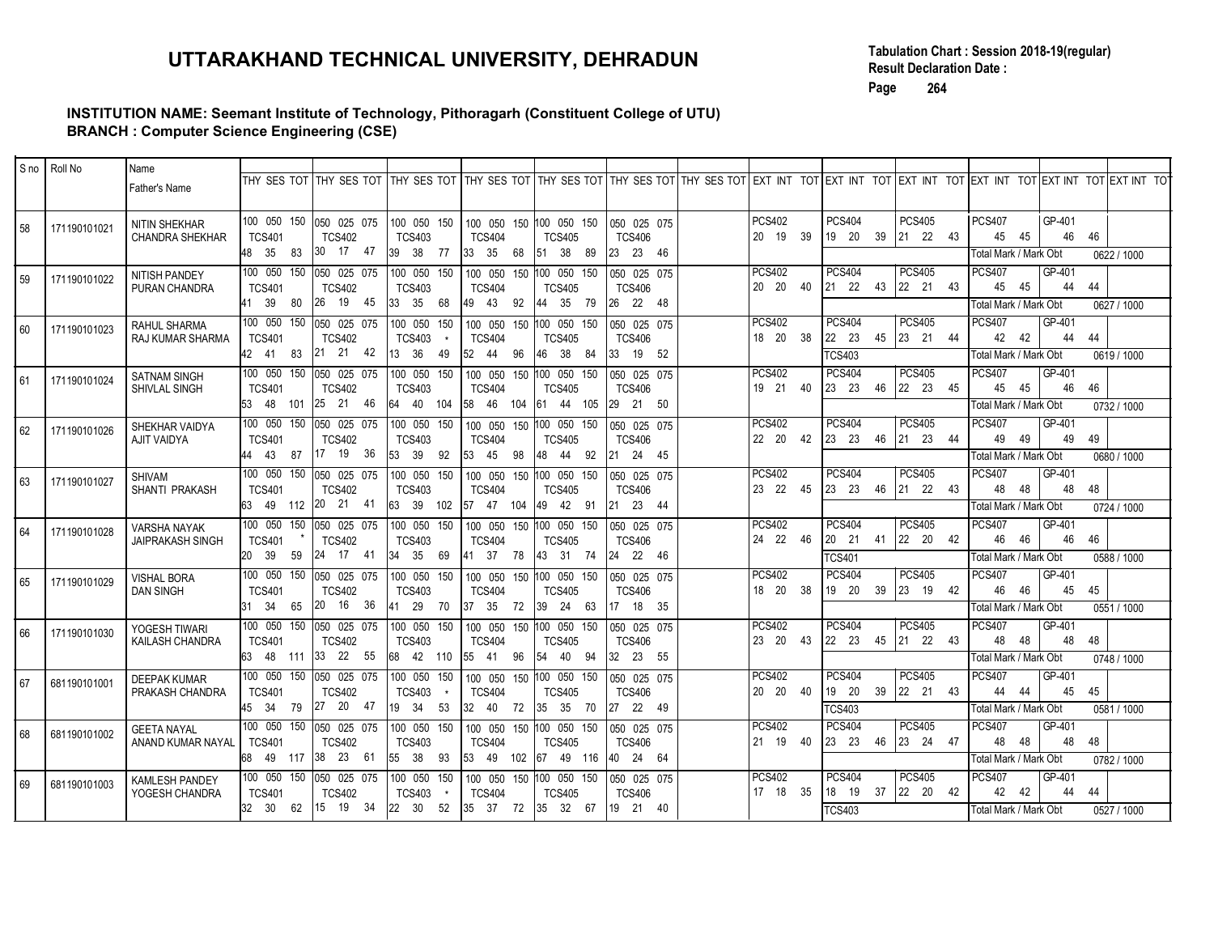### INSTITUTION NAME: Seemant Institute of Technology, Pithoragarh (Constituent College of UTU) BRANCH : Computer Science Engineering (CSE)

|              |                      | INSTITUTION NAME: Seemant Institute of Technology, Pithoragarh (Constituent College of UTU) |                              |                                                         | UTTARAKHAND TECHNICAL UNIVERSITY, DEHRADUN                                                                                               |                                                          |                           |                                          |                                            |                                                                                  | <b>Result Declaration Date:</b><br>264<br>Page                                                                             | Tabulation Chart: Session 2018-19(regular)                                                                                                                                                                             |                     |
|--------------|----------------------|---------------------------------------------------------------------------------------------|------------------------------|---------------------------------------------------------|------------------------------------------------------------------------------------------------------------------------------------------|----------------------------------------------------------|---------------------------|------------------------------------------|--------------------------------------------|----------------------------------------------------------------------------------|----------------------------------------------------------------------------------------------------------------------------|------------------------------------------------------------------------------------------------------------------------------------------------------------------------------------------------------------------------|---------------------|
|              | $ $ S no $ $ Roll No | <b>BRANCH: Computer Science Engineering (CSE)</b><br>Name                                   |                              |                                                         |                                                                                                                                          |                                                          |                           |                                          |                                            |                                                                                  |                                                                                                                            |                                                                                                                                                                                                                        |                     |
|              |                      | Father's Name                                                                               |                              |                                                         |                                                                                                                                          |                                                          |                           |                                          |                                            |                                                                                  |                                                                                                                            | THY SES TOT THY SES TOT THY SES TOT THY SES TOT THY SES TOT THY SES TOT THY SES TOT EXT INT TOT EXT INT TOT EXT INT TOT EXT INT TOT EXT INT TOT EXT INT TOT EXT INT TOT EXT INT TOT EXT INT TOT EXT INT TOT EXT INT TO |                     |
| 58           | 171190101021         | NITIN SHEKHAR<br><b>CHANDRA SHEKHAR</b>                                                     | <b>TCS401</b><br>48 35 83    | 100 050 150 050 025 075<br><b>TCS402</b><br>30<br>17 47 | 100 050 150<br><b>TCS403</b><br>39 38 77 33 35 68 51 38 89                                                                               | 100 050 150 100 050 150<br><b>TCS404</b>                 | TCS405                    | 050 025 075<br><b>TCS406</b><br>23 23 46 | <b>PCS402</b><br>20 19 39                  | <b>PCS404</b>                                                                    | <b>PCS405</b><br>19 20 39 21 22 43                                                                                         | <b>PCS407</b><br>GP-401<br>46<br>45 45<br>Total Mark / Mark Obt                                                                                                                                                        | 46<br>0622 / 1000   |
| 59           | 171190101022         | NITISH PANDEY<br>PURAN CHANDRA                                                              | <b>TCS401</b><br>41 39 80    | 100 050 150 050 025 075<br><b>TCS402</b><br>26 19 45    | 100 050 150<br><b>TCS403</b><br>33 35 68                                                                                                 | 100 050 150 100 050 150<br><b>TCS404</b><br>49 43 92     | <b>TCS405</b><br>44 35 79 | 050 025 075<br><b>TCS406</b><br>26 22 48 | <b>PCS402</b><br>20 20 40                  | <b>PCS404</b>                                                                    | <b>PCS405</b><br>$\begin{vmatrix} 21 & 22 & 43 \end{vmatrix}$ $\begin{vmatrix} 22 & 21 & 43 \end{vmatrix}$                 | GP-401<br><b>PCS407</b><br>44<br>45<br>- 45<br>Total Mark / Mark Obt                                                                                                                                                   | 44<br>0627 / 1000   |
| 60           | 171190101023         | RAHUL SHARMA<br>RAJ KUMAR SHARMA                                                            | <b>TCS401</b><br>42 41<br>83 | 100 050 150 050 025 075<br><b>TCS402</b><br>21 21 42    | 100 050 150<br><b>TCS403</b><br>13 36 49 52 44 96                                                                                        | 100 050 150 100 050 150<br><b>TCS404</b>                 | <b>TCS405</b><br>46 38 84 | 050 025 075<br><b>TCS406</b><br>33 19 52 | <b>PCS402</b><br>18  20  38                | <b>PCS404</b><br>22 23<br><b>TCS403</b>                                          | <b>PCS405</b><br>45 23 21 44                                                                                               | <b>PCS407</b><br>GP-401<br>44<br>42<br>- 42<br>Total Mark / Mark Obt                                                                                                                                                   | 44<br>0619 / 1000   |
| 61           | 171190101024         | <b>SATNAM SINGH</b><br>SHIVLAL SINGH                                                        | <b>TCS401</b><br>53 48 101   | 100 050 150 050 025 075<br><b>TCS402</b><br>25 21 46    | <b>TCS403</b><br>64 40 104 58 46 104 61 44 105 29 21 50                                                                                  | 100 050 150 100 050 150 100 050 150<br><b>TCS404</b>     | <b>TCS405</b>             | 050 025 075<br><b>TCS406</b>             | <b>PCS402</b><br>19 21 40                  | <b>PCS404</b><br>$\begin{vmatrix} 23 & 23 \end{vmatrix}$                         | PCS405<br>46 22 23 45                                                                                                      | <b>PCS407</b><br>GP-401<br>46<br>45<br>45<br>Total Mark / Mark Obt                                                                                                                                                     | 46<br>0732 / 1000   |
| 62           | 171190101026         | SHEKHAR VAIDYA<br><b>AJIT VAIDYA</b>                                                        | <b>TCS401</b><br>44 43 87    | 100 050 150 050 025 075<br><b>TCS402</b>                | 100 050 150<br><b>TCS403</b>                                                                                                             | 100 050 150 100 050 150<br><b>TCS404</b>                 | TCS405                    | 050 025 075<br><b>TCS406</b>             | <b>PCS402</b><br>22 20 42                  | <b>PCS404</b><br>$ 23 \t23 \t23 \t $                                             | <b>PCS405</b><br>46 21 23 44                                                                                               | GP-401<br><b>PCS407</b><br>49<br>49<br>49<br>Total Mark / Mark Obt                                                                                                                                                     | 49<br>0680 / 1000   |
| 63           | 171190101027         | SHIVAM<br>SHANTI PRAKASH                                                                    | <b>TCS401</b>                | <b>TCS402</b>                                           | 100 050 150 050 025 075 100 050 150 100 050 150 100 050 150<br><b>TCS403</b><br>63 49 112 20 21 41 63 39 102 57 47 104 49 42 91 21 23 44 | <b>TCS404</b>                                            | TCS405                    | $1050$ 025 075<br><b>TCS406</b>          | <b>PCS402</b><br>23 22 45                  | <b>PCS404</b><br>$\begin{vmatrix} 23 & 23 & 46 \end{vmatrix}$ 21 22 43           | <b>PCS405</b>                                                                                                              | <b>PCS407</b><br>GP-401<br>48 48<br>48<br>Fotal Mark / Mark Obt                                                                                                                                                        | - 48<br>0724 / 1000 |
| 64           | 171190101028         | VARSHA NAYAK<br>JAIPRAKASH SINGH                                                            | <b>TCS401</b>                | <b>TCS402</b>                                           | 100 050 150 050 025 075 100 050 150 100 050 150 100 050 150<br><b>TCS403</b><br>20 39 59 24 17 41 34 35 69 41 37 78 43 31 74 24 22 46    | <b>TCS404</b>                                            | TCS405                    | 050 025 075<br><b>TCS406</b>             | <b>PCS402</b><br>24 22 46                  | PCS404<br>$\begin{vmatrix} 20 & 21 & 41 \end{vmatrix}$ 22 20 42<br><b>TCS401</b> | <b>PCS405</b>                                                                                                              | <b>PCS407</b><br>GP-401<br>46 46<br>46 46<br>Total Mark / Mark Obt                                                                                                                                                     | 0588 / 1000         |
| 65           | 171190101029         | VISHAL BORA<br>DAN SINGH                                                                    | <b>TCS401</b>                | <b>TCS402</b>                                           | <b>TCS403</b><br>31 34 65 20 16 36 41 29 70 37 35 72 39 24 63 17 18 35                                                                   | <b>TCS404</b>                                            | TCS405                    | <b>TCS406</b>                            | <b>PCS402</b><br>18 20 38                  | <b>PCS404</b>                                                                    | <b>PCS405</b><br>$\begin{vmatrix} 19 & 20 & 39 \end{vmatrix}$ 23 19 42                                                     | <b>PCS407</b><br>GP-401<br>46 46<br>45 45<br>Total Mark / Mark Obt                                                                                                                                                     | 0551 / 1000         |
| 66           | 171190101030         | YOGESH TIWARI<br>KAILASH CHANDRA                                                            | <b>TCS401</b>                | 100 050 150 050 025 075<br><b>TCS402</b>                | <b>TCS403</b><br>63 48 111 33 22 55 68 42 110 55 41 96 54 40 94 32 23 55                                                                 | 100 050 150   100 050 150   100 050 150<br><b>TCS404</b> | TCS405                    | 050 025 075<br><b>TCS406</b>             | <b>PCS402</b><br>23 20 43                  | <b>PCS404</b><br>$\begin{vmatrix} 22 & 23 & 45 \end{vmatrix}$ 21 22 43           | <b>PCS405</b>                                                                                                              | GP-401<br><b>PCS407</b><br>48 48<br>48 48<br>Total Mark / Mark Obt                                                                                                                                                     | 0748 / 1000         |
| 67           | 681190101001         | DEEPAK KUMAR<br>PRAKASH CHANDRA                                                             | <b>TCS401</b>                | <b>TCS402</b>                                           | <b>TCS403</b><br>45 34 79 27 20 47 19 34 53 32 40 72 35 35 70 27 22 49                                                                   | <b>TCS404</b>                                            | TCS405                    | <b>TCS406</b>                            | <b>PCS402</b><br>20 20 40<br><b>PCS402</b> | <b>PCS404</b><br>19 20<br><b>TCS403</b><br><b>PCS404</b>                         | <b>PCS405</b><br>39 22 21 43                                                                                               | <b>PCS407</b><br>GP-401<br>44 44<br>45 45<br>Total Mark / Mark Obt                                                                                                                                                     | 0581 / 1000         |
| 68           | 681190101002         | <b>GEETA NAYAL</b><br>ANAND KUMAR NAYAL                                                     | <b>TCS401</b>                | 100 050 150 050 025 075<br><b>TCS402</b>                | <b>TCS403</b><br>68 49 117 38 23 61 55 38 93 53 49 102 67 49 116 40 24 64                                                                | <b>TCS404</b>                                            | <b>TCS405</b>             | <b>TCS406</b>                            | 21 19 40<br><b>PCS402</b>                  | <b>PCS404</b>                                                                    | <b>PCS405</b><br>$\begin{array}{ c c c c c c c c } \hline 23 & 23 & 46 & 23 & 24 & 47 \hline \end{array}$<br><b>PCS405</b> | <b>PCS407</b><br>GP-401<br>48 48<br>48 48<br>Total Mark / Mark Obt<br><b>PCS407</b><br>GP-401                                                                                                                          | 0782 / 1000         |
| $ 69\rangle$ | 681190101003         | KAMLESH PANDEY<br>YOGESH CHANDRA                                                            | <b>TCS401</b>                | <b>TCS402</b>                                           | <b>TCS403</b><br>$\star$<br>32 30 62 15 19 34 22 30 52 35 37 72 35 32 67 19 21 40                                                        | <b>TCS404</b>                                            | <b>TCS405</b>             | TCS406                                   | 17 18 35                                   | <b>TCS403</b>                                                                    | $18$ 19 37 22 20 42                                                                                                        | 42 42<br>44 44<br>Total Mark / Mark Obt                                                                                                                                                                                | 0527 / 1000         |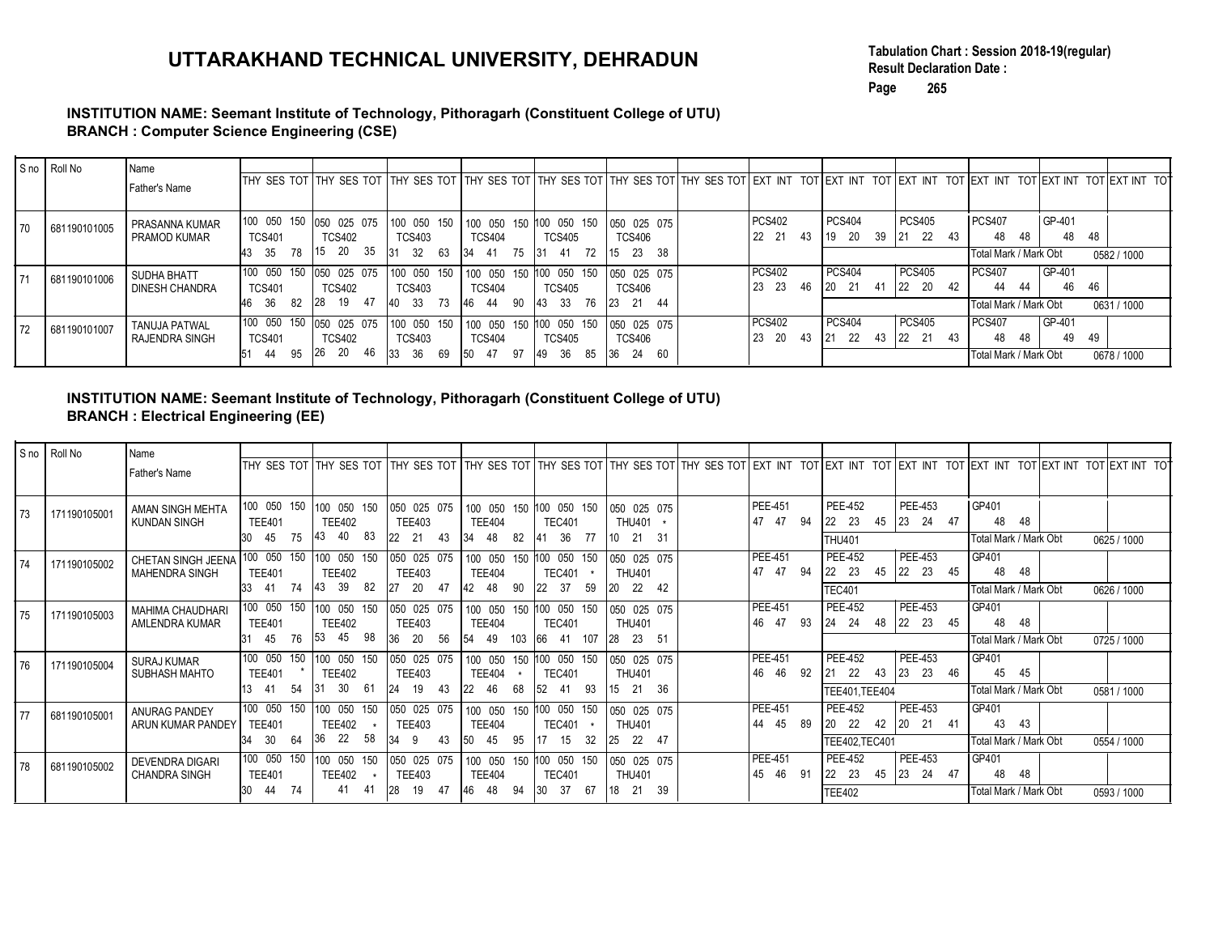#### INSTITUTION NAME: Seemant Institute of Technology, Pithoragarh (Constituent College of UTU) BRANCH : Computer Science Engineering (CSE)

| Tabulation Chart: Session 2018-19(regular)<br>UTTARAKHAND TECHNICAL UNIVERSITY, DEHRADUN<br><b>Result Declaration Date:</b><br>Page<br>265<br>INSTITUTION NAME: Seemant Institute of Technology, Pithoragarh (Constituent College of UTU)<br><b>BRANCH: Computer Science Engineering (CSE)</b><br>S no Roll No<br>Name<br>THY SES TOT THY SES TOT THY SES TOT THY SES TOT THY SES TOT THY SES TOT THY SES TOT EXT INT TOT EXT INT TOT EXT INT TOT EXT INT TOT EXT INT TOT EXT INT TOT EXT INT TOT EXT INT TOT<br>Father's Name<br>100 050 150<br><b>PCS402</b><br><b>PCS404</b><br><b>PCS405</b><br>PCS407<br>GP-401<br>050 025 075<br>100 050 150<br>100 050 150 100 050 150<br>050 025 075<br>PRASANNA KUMAR<br>681190101005<br>70<br>22 21 43<br>19 20 39 21 22 43<br>48<br>48<br>48<br>PRAMOD KUMAR<br><b>TCS401</b><br><b>TCS402</b><br><b>TCS404</b><br><b>TCS405</b><br><b>TCS406</b><br><b>TCS403</b><br>43 35 78<br>15 20 35<br>34 41 75 31 41 72<br>31 32 63<br>$15$ 23 38<br><b>Fotal Mark / Mark Obt</b><br><b>PCS404</b><br>100 050 150<br>050 025 075<br>100 050 150 100 050 150 100 050 150<br><b>PCS402</b><br><b>PCS405</b><br><b>PCS407</b><br>GP-401<br>050 025 075<br>SUDHA BHATT<br>681190101006<br>71<br>23 23 46<br>20 21 41<br>46<br>22 20 42<br>44<br><b>TCS401</b><br><b>TCS404</b><br>44<br><b>DINESH CHANDRA</b><br><b>TCS402</b><br><b>TCS403</b><br><b>TCS405</b><br>TCS406<br>28 19 47<br>46 36 82<br>40 33 73<br>46 44 90<br>43 33 76<br>23 21 44<br><b>Fotal Mark / Mark Obt</b><br><b>PCS404</b><br><b>PCS405</b><br>100 050 150<br><b>PCS402</b><br><b>PCS407</b><br>GP-401<br>050 025 075<br>100 050 150<br>100 050 150 100 050 150<br>050 025 075<br>TANUJA PATWAL<br>72<br>681190101007<br>$21 \t 22 \t 43$<br>22 21 43<br>49<br>23 20 43<br>48<br>RAJENDRA SINGH<br><b>TCS401</b><br><b>TCS402</b><br><b>TCS403</b><br><b>TCS404</b><br><b>TCS405</b><br>TCS406<br>-48<br>26 20 46<br>51 44 95<br>50 47 97<br>33 36 69<br>49 36 85<br>36 24 60<br>Total Mark / Mark Obt<br>INSTITUTION NAME: Seemant Institute of Technology, Pithoragarh (Constituent College of UTU)<br><b>BRANCH : Electrical Engineering (EE)</b><br>S no Roll No<br>Name<br>THY SES TOT THY SES TOT THY SES TOT THY SES TOT THY SES TOT THY SES TOT THY SES TOT EXT INT TOT EXT INT TOT EXT INT TOT EXT INT TOT EXT INT TOT EXT INT TOT EXT INT TOT EXT INT TOT EXT INT TOT EXT INT TOT FIXT INT TOT<br>Father's Name<br>PEE-451<br>PEE-452<br>PEE-453<br>$\sqrt{\text{GP401}}$<br>100 050 150 100 050 150 050 025 075 100 050 150 100 050 150 050 025 075<br>AMAN SINGH MEHTA<br>171190105001<br>  73<br>47 47 94 22 23 45 23 24 47<br>48 48<br><b>KUNDAN SINGH</b><br><b>TEE401</b><br><b>TEE402</b><br><b>TEE404</b><br><b>TEE403</b><br><b>TEC401</b><br>THU401 *<br>30 45 75 43 40 83 22 21 43 34 48 82 41 36 77 10 21 31<br>Total Mark / Mark Obt<br><b>THU401</b><br><b>PEE-452</b><br><b>PEE-453</b><br>CHETAN SINGH JEENA 100 050 150 100 050 150 050 025 075 100 050 150 100 050 150 050 025 075<br>PEE-451<br> GP401<br>  74<br>171190105002<br>22 23 45 22 23 45<br>47 47 94<br>48 48<br>MAHENDRA SINGH<br><b>TEE401</b><br><b>TEE402</b><br><b>TEE403</b><br><b>TEE404</b><br>TEC401 *<br><b>THU401</b><br>33 41 74 43 39 82 27 20 47 42 48 90 22 37 59 20 22 42<br><b>TEC401</b><br>Total Mark / Mark Obt<br><b>PEE-452</b><br>PEE-453<br><b>PEE-451</b><br>GP401<br>100 050 150 100 050 150<br>050 025 075<br>  100 050 150 100 050 150<br>050 025 075<br><b>MAHIMA CHAUDHARI</b> |    |              |                |               |               |               |               |               |               |  |  |       |                   |
|--------------------------------------------------------------------------------------------------------------------------------------------------------------------------------------------------------------------------------------------------------------------------------------------------------------------------------------------------------------------------------------------------------------------------------------------------------------------------------------------------------------------------------------------------------------------------------------------------------------------------------------------------------------------------------------------------------------------------------------------------------------------------------------------------------------------------------------------------------------------------------------------------------------------------------------------------------------------------------------------------------------------------------------------------------------------------------------------------------------------------------------------------------------------------------------------------------------------------------------------------------------------------------------------------------------------------------------------------------------------------------------------------------------------------------------------------------------------------------------------------------------------------------------------------------------------------------------------------------------------------------------------------------------------------------------------------------------------------------------------------------------------------------------------------------------------------------------------------------------------------------------------------------------------------------------------------------------------------------------------------------------------------------------------------------------------------------------------------------------------------------------------------------------------------------------------------------------------------------------------------------------------------------------------------------------------------------------------------------------------------------------------------------------------------------------------------------------------------------------------------------------------------------------------------------------------------------------------------------------------------------------------------------------------------------------------------------------------------------------------------------------------------------------------------------------------------------------------------------------------------------------------------------------------------------------------------------------------------------------------------------------------------------------------------------------------------------------------------------------------------------------------------------------------------------------------------------------------------------------------------------------------------------------------------------------------------------------------------------------------------------------------------------------------------------------------------------------------------------------------------------------|----|--------------|----------------|---------------|---------------|---------------|---------------|---------------|---------------|--|--|-------|-------------------|
|                                                                                                                                                                                                                                                                                                                                                                                                                                                                                                                                                                                                                                                                                                                                                                                                                                                                                                                                                                                                                                                                                                                                                                                                                                                                                                                                                                                                                                                                                                                                                                                                                                                                                                                                                                                                                                                                                                                                                                                                                                                                                                                                                                                                                                                                                                                                                                                                                                                                                                                                                                                                                                                                                                                                                                                                                                                                                                                                                                                                                                                                                                                                                                                                                                                                                                                                                                                                                                                                                                              |    |              |                |               |               |               |               |               |               |  |  |       |                   |
|                                                                                                                                                                                                                                                                                                                                                                                                                                                                                                                                                                                                                                                                                                                                                                                                                                                                                                                                                                                                                                                                                                                                                                                                                                                                                                                                                                                                                                                                                                                                                                                                                                                                                                                                                                                                                                                                                                                                                                                                                                                                                                                                                                                                                                                                                                                                                                                                                                                                                                                                                                                                                                                                                                                                                                                                                                                                                                                                                                                                                                                                                                                                                                                                                                                                                                                                                                                                                                                                                                              |    |              |                |               |               |               |               |               |               |  |  |       |                   |
|                                                                                                                                                                                                                                                                                                                                                                                                                                                                                                                                                                                                                                                                                                                                                                                                                                                                                                                                                                                                                                                                                                                                                                                                                                                                                                                                                                                                                                                                                                                                                                                                                                                                                                                                                                                                                                                                                                                                                                                                                                                                                                                                                                                                                                                                                                                                                                                                                                                                                                                                                                                                                                                                                                                                                                                                                                                                                                                                                                                                                                                                                                                                                                                                                                                                                                                                                                                                                                                                                                              |    |              |                |               |               |               |               |               |               |  |  |       |                   |
|                                                                                                                                                                                                                                                                                                                                                                                                                                                                                                                                                                                                                                                                                                                                                                                                                                                                                                                                                                                                                                                                                                                                                                                                                                                                                                                                                                                                                                                                                                                                                                                                                                                                                                                                                                                                                                                                                                                                                                                                                                                                                                                                                                                                                                                                                                                                                                                                                                                                                                                                                                                                                                                                                                                                                                                                                                                                                                                                                                                                                                                                                                                                                                                                                                                                                                                                                                                                                                                                                                              |    |              |                |               |               |               |               |               |               |  |  |       |                   |
|                                                                                                                                                                                                                                                                                                                                                                                                                                                                                                                                                                                                                                                                                                                                                                                                                                                                                                                                                                                                                                                                                                                                                                                                                                                                                                                                                                                                                                                                                                                                                                                                                                                                                                                                                                                                                                                                                                                                                                                                                                                                                                                                                                                                                                                                                                                                                                                                                                                                                                                                                                                                                                                                                                                                                                                                                                                                                                                                                                                                                                                                                                                                                                                                                                                                                                                                                                                                                                                                                                              |    |              |                |               |               |               |               |               |               |  |  |       |                   |
|                                                                                                                                                                                                                                                                                                                                                                                                                                                                                                                                                                                                                                                                                                                                                                                                                                                                                                                                                                                                                                                                                                                                                                                                                                                                                                                                                                                                                                                                                                                                                                                                                                                                                                                                                                                                                                                                                                                                                                                                                                                                                                                                                                                                                                                                                                                                                                                                                                                                                                                                                                                                                                                                                                                                                                                                                                                                                                                                                                                                                                                                                                                                                                                                                                                                                                                                                                                                                                                                                                              |    |              |                |               |               |               |               |               |               |  |  |       |                   |
|                                                                                                                                                                                                                                                                                                                                                                                                                                                                                                                                                                                                                                                                                                                                                                                                                                                                                                                                                                                                                                                                                                                                                                                                                                                                                                                                                                                                                                                                                                                                                                                                                                                                                                                                                                                                                                                                                                                                                                                                                                                                                                                                                                                                                                                                                                                                                                                                                                                                                                                                                                                                                                                                                                                                                                                                                                                                                                                                                                                                                                                                                                                                                                                                                                                                                                                                                                                                                                                                                                              |    |              |                |               |               |               |               |               |               |  |  |       | 48                |
|                                                                                                                                                                                                                                                                                                                                                                                                                                                                                                                                                                                                                                                                                                                                                                                                                                                                                                                                                                                                                                                                                                                                                                                                                                                                                                                                                                                                                                                                                                                                                                                                                                                                                                                                                                                                                                                                                                                                                                                                                                                                                                                                                                                                                                                                                                                                                                                                                                                                                                                                                                                                                                                                                                                                                                                                                                                                                                                                                                                                                                                                                                                                                                                                                                                                                                                                                                                                                                                                                                              |    |              |                |               |               |               |               |               |               |  |  |       | 0582 / 1000<br>46 |
|                                                                                                                                                                                                                                                                                                                                                                                                                                                                                                                                                                                                                                                                                                                                                                                                                                                                                                                                                                                                                                                                                                                                                                                                                                                                                                                                                                                                                                                                                                                                                                                                                                                                                                                                                                                                                                                                                                                                                                                                                                                                                                                                                                                                                                                                                                                                                                                                                                                                                                                                                                                                                                                                                                                                                                                                                                                                                                                                                                                                                                                                                                                                                                                                                                                                                                                                                                                                                                                                                                              |    |              |                |               |               |               |               |               |               |  |  |       | 0631 / 1000<br>49 |
|                                                                                                                                                                                                                                                                                                                                                                                                                                                                                                                                                                                                                                                                                                                                                                                                                                                                                                                                                                                                                                                                                                                                                                                                                                                                                                                                                                                                                                                                                                                                                                                                                                                                                                                                                                                                                                                                                                                                                                                                                                                                                                                                                                                                                                                                                                                                                                                                                                                                                                                                                                                                                                                                                                                                                                                                                                                                                                                                                                                                                                                                                                                                                                                                                                                                                                                                                                                                                                                                                                              |    |              |                |               |               |               |               |               |               |  |  |       | 0678 / 1000       |
|                                                                                                                                                                                                                                                                                                                                                                                                                                                                                                                                                                                                                                                                                                                                                                                                                                                                                                                                                                                                                                                                                                                                                                                                                                                                                                                                                                                                                                                                                                                                                                                                                                                                                                                                                                                                                                                                                                                                                                                                                                                                                                                                                                                                                                                                                                                                                                                                                                                                                                                                                                                                                                                                                                                                                                                                                                                                                                                                                                                                                                                                                                                                                                                                                                                                                                                                                                                                                                                                                                              |    |              |                |               |               |               |               |               |               |  |  |       |                   |
|                                                                                                                                                                                                                                                                                                                                                                                                                                                                                                                                                                                                                                                                                                                                                                                                                                                                                                                                                                                                                                                                                                                                                                                                                                                                                                                                                                                                                                                                                                                                                                                                                                                                                                                                                                                                                                                                                                                                                                                                                                                                                                                                                                                                                                                                                                                                                                                                                                                                                                                                                                                                                                                                                                                                                                                                                                                                                                                                                                                                                                                                                                                                                                                                                                                                                                                                                                                                                                                                                                              |    |              |                |               |               |               |               |               |               |  |  |       |                   |
|                                                                                                                                                                                                                                                                                                                                                                                                                                                                                                                                                                                                                                                                                                                                                                                                                                                                                                                                                                                                                                                                                                                                                                                                                                                                                                                                                                                                                                                                                                                                                                                                                                                                                                                                                                                                                                                                                                                                                                                                                                                                                                                                                                                                                                                                                                                                                                                                                                                                                                                                                                                                                                                                                                                                                                                                                                                                                                                                                                                                                                                                                                                                                                                                                                                                                                                                                                                                                                                                                                              |    |              |                |               |               |               |               |               |               |  |  |       |                   |
|                                                                                                                                                                                                                                                                                                                                                                                                                                                                                                                                                                                                                                                                                                                                                                                                                                                                                                                                                                                                                                                                                                                                                                                                                                                                                                                                                                                                                                                                                                                                                                                                                                                                                                                                                                                                                                                                                                                                                                                                                                                                                                                                                                                                                                                                                                                                                                                                                                                                                                                                                                                                                                                                                                                                                                                                                                                                                                                                                                                                                                                                                                                                                                                                                                                                                                                                                                                                                                                                                                              |    |              |                |               |               |               |               |               |               |  |  |       | 0625 / 1000       |
|                                                                                                                                                                                                                                                                                                                                                                                                                                                                                                                                                                                                                                                                                                                                                                                                                                                                                                                                                                                                                                                                                                                                                                                                                                                                                                                                                                                                                                                                                                                                                                                                                                                                                                                                                                                                                                                                                                                                                                                                                                                                                                                                                                                                                                                                                                                                                                                                                                                                                                                                                                                                                                                                                                                                                                                                                                                                                                                                                                                                                                                                                                                                                                                                                                                                                                                                                                                                                                                                                                              |    |              |                |               |               |               |               |               |               |  |  |       |                   |
| 46 47 93 24 24 48 22 23 45                                                                                                                                                                                                                                                                                                                                                                                                                                                                                                                                                                                                                                                                                                                                                                                                                                                                                                                                                                                                                                                                                                                                                                                                                                                                                                                                                                                                                                                                                                                                                                                                                                                                                                                                                                                                                                                                                                                                                                                                                                                                                                                                                                                                                                                                                                                                                                                                                                                                                                                                                                                                                                                                                                                                                                                                                                                                                                                                                                                                                                                                                                                                                                                                                                                                                                                                                                                                                                                                                   | 75 | 171190105003 | AMLENDRA KUMAR | <b>TEE401</b> | <b>TEE402</b> | <b>TEE403</b> | <b>TEE404</b> | <b>TEC401</b> | <b>THU401</b> |  |  | 48 48 | 0626 / 1000       |

## INSTITUTION NAME: Seemant Institute of Technology, Pithoragarh (Constituent College of UTU) BRANCH : Electrical Engineering (EE)

|    | S no Roll No | Name                                                                                                                                               |                           |                                          |                                                             |                                                                                            |                           |                                              |                            |                                                                                            |                            |                                                                                                                                                                                     |             |
|----|--------------|----------------------------------------------------------------------------------------------------------------------------------------------------|---------------------------|------------------------------------------|-------------------------------------------------------------|--------------------------------------------------------------------------------------------|---------------------------|----------------------------------------------|----------------------------|--------------------------------------------------------------------------------------------|----------------------------|-------------------------------------------------------------------------------------------------------------------------------------------------------------------------------------|-------------|
|    |              | Father's Name                                                                                                                                      |                           |                                          |                                                             |                                                                                            |                           |                                              |                            |                                                                                            |                            | THY SES TOT THY SES TOT THY SES TOT THY SES TOT THY SES TOT THY SES TOT THY SES TOT EXT INT TOT EXT INT TOT EXT INT TOT EXT INT TOT EXT INT TOT EXT INT TOT EXT INT TOT EXT INT TOT |             |
| 70 | 681190101005 | PRASANNA KUMAR                                                                                                                                     |                           | 100 050 150 050 025 075                  | 100 050 150                                                 | 100 050 150 100 050 150                                                                    |                           | 050 025 075                                  | <b>PCS402</b>              | <b>PCS404</b>                                                                              | <b>PCS405</b>              | GP-401<br><b>PCS407</b>                                                                                                                                                             |             |
|    |              | PRAMOD KUMAR                                                                                                                                       | <b>TCS401</b>             | <b>TCS402</b>                            | <b>TCS403</b>                                               | <b>TCS404</b>                                                                              | <b>TCS405</b>             | <b>TCS406</b>                                | 22 21 43                   |                                                                                            | 19 20 39 21 22 43          | 48<br>48                                                                                                                                                                            | 48 48       |
|    |              |                                                                                                                                                    | 43 35 78                  | 15 20 35                                 | $31 \t32 \t63$                                              | 34 41 75 31 41 72                                                                          |                           | 15 23 38                                     |                            |                                                                                            |                            | Total Mark / Mark Obt                                                                                                                                                               | 0582 / 1000 |
| 71 | 681190101006 | SUDHA BHATT<br><b>DINESH CHANDRA</b>                                                                                                               | <b>TCS401</b>             | 100 050 150 050 025 075<br><b>TCS402</b> | 100 050 150<br><b>TCS403</b>                                | 100 050 150 100 050 150<br><b>TCS404</b>                                                   | <b>TCS405</b>             | 050 025 075<br><b>TCS406</b>                 | <b>PCS402</b><br>23 23 46  | <b>PCS404</b><br>20 21 41                                                                  | <b>PCS405</b><br>22 20 42  | GP-401<br><b>PCS407</b><br>44<br>44                                                                                                                                                 | 46 46       |
|    |              |                                                                                                                                                    | 46 36 82                  | 28 19 47                                 | 40 33 73                                                    | 46 44 90 43 33 76                                                                          |                           | $\begin{vmatrix} 23 & 21 & 44 \end{vmatrix}$ |                            |                                                                                            |                            | Total Mark / Mark Obt                                                                                                                                                               | 0631/1000   |
|    |              | <b>TANUJA PATWAL</b>                                                                                                                               |                           | 100 050 150 050 025 075                  | 100 050 150                                                 | 100 050 150 100 050 150                                                                    |                           | 050 025 075                                  | <b>PCS402</b>              | <b>PCS404</b>                                                                              | PCS405                     | GP-401<br><b>PCS407</b>                                                                                                                                                             |             |
| 72 | 681190101007 | <b>RAJENDRA SINGH</b>                                                                                                                              | <b>TCS401</b>             | <b>TCS402</b>                            | <b>TCS403</b>                                               | <b>TCS404</b>                                                                              | <b>TCS405</b>             | <b>TCS406</b>                                | 23 20 43                   |                                                                                            | 21 22 43  22 21 43         | 48<br>49<br>48                                                                                                                                                                      | 49          |
|    |              |                                                                                                                                                    |                           | 51 44 95 26 20 46                        |                                                             |                                                                                            |                           | 36 24 60                                     |                            |                                                                                            |                            | Total Mark / Mark Obt                                                                                                                                                               | 0678 / 1000 |
|    | S no Roll No | INSTITUTION NAME: Seemant Institute of Technology, Pithoragarh (Constituent College of UTU)<br><b>BRANCH : Electrical Engineering (EE)</b><br>Name |                           |                                          |                                                             |                                                                                            |                           |                                              |                            |                                                                                            |                            |                                                                                                                                                                                     |             |
|    |              | Father's Name                                                                                                                                      |                           |                                          |                                                             |                                                                                            |                           |                                              |                            |                                                                                            |                            | THY SES TOT THY SES TOT THY SES TOT THY SES TOT THY SES TOT THY SES TOT THY SES TOT EXT INT TOT EXT INT TOT EXT INT TOT EXT INT TOT EXT INT TOT EXT INT TOT EXT INT TOT EXT INT TOT |             |
| 73 | 171190105001 | AMAN SINGH MEHTA                                                                                                                                   |                           | 100 050 150 100 050 150                  | 050 025 075                                                 | 100 050 150 100 050 150                                                                    |                           | 050 025 075                                  | PEE-451                    | <b>PEE-452</b>                                                                             | PEE-453                    | GP401                                                                                                                                                                               |             |
|    |              | <b>KUNDAN SINGH</b>                                                                                                                                | <b>TEE401</b><br>30 45 75 | <b>TEE402</b><br>43 40 83                | <b>TEE403</b><br>22 21 43                                   | <b>TEE404</b>                                                                              | <b>TEC401</b>             | <b>THU401</b>                                | 47 47 94                   | 22 23                                                                                      | 45 23 24 47                | 48 48                                                                                                                                                                               |             |
|    |              |                                                                                                                                                    |                           |                                          |                                                             | 34 48 82 41 36 77                                                                          |                           | 10 21 31                                     |                            | THU401<br><b>PEE-452</b>                                                                   | $PEE-453$                  | Total Mark / Mark Obt                                                                                                                                                               | 0625 / 1000 |
| 74 | 171190105002 | CHETAN SINGH JEENA<br><b>MAHENDRA SINGH</b>                                                                                                        | <b>TEE401</b>             | 100 050 150 100 050 150<br><b>TEE402</b> | 050 025 075<br><b>TEE403</b>                                | 100 050 150 100 050 150<br><b>TEE404</b>                                                   | <b>TEC401</b>             | 050 025 075<br><b>THU401</b>                 | <b>PEE-451</b><br>47 47 94 | 22 23                                                                                      | 45 22 23 45                | GP401<br>48 48                                                                                                                                                                      |             |
|    |              |                                                                                                                                                    | 33 41 74                  | 43 39 82                                 | 27 20 47                                                    | 42 48 90 22 37 59                                                                          |                           | $\begin{bmatrix} 20 & 22 & 42 \end{bmatrix}$ |                            | <b>TEC401</b>                                                                              |                            | Total Mark / Mark Obt                                                                                                                                                               | 0626 / 1000 |
|    | 171190105003 | <b>MAHIMA CHAUDHARI</b>                                                                                                                            |                           | 100 050 150 100 050 150                  | 050 025 075                                                 | 100 050 150 100 050 150                                                                    |                           | 050 025 075                                  | <b>PEE-451</b>             | <b>PEE-452</b>                                                                             | $PEE-453$                  | GP401                                                                                                                                                                               |             |
|    |              |                                                                                                                                                    |                           |                                          |                                                             |                                                                                            |                           |                                              |                            |                                                                                            |                            |                                                                                                                                                                                     |             |
| 75 |              | AMLENDRA KUMAR                                                                                                                                     | <b>TEE401</b>             | <b>TEE402</b>                            | <b>TEE403</b>                                               | <b>TEE404</b>                                                                              | <b>TEC401</b>             | <b>THU401</b>                                | 46 47 93                   |                                                                                            | 24 24 48 22 23 45          | 48<br>48                                                                                                                                                                            |             |
|    |              |                                                                                                                                                    |                           | 31 45 76 53 45 98                        | 36 20 56                                                    | 54 49 103   66 41 107   28 23 51                                                           |                           |                                              |                            |                                                                                            |                            | Total Mark / Mark Obt                                                                                                                                                               | 0725 / 1000 |
| 76 | 171190105004 | <b>SURAJ KUMAR</b>                                                                                                                                 |                           | 100 050 150 100 050 150                  | 050 025 075                                                 | 100 050 150 100 050 150                                                                    |                           | 050 025 075                                  | <b>PEE-451</b>             | <b>PEE-452</b>                                                                             | $PEE-453$                  | GP401                                                                                                                                                                               |             |
|    |              | SUBHASH MAHTO                                                                                                                                      | <b>TEE401</b>             | <b>TEE402</b>                            | <b>TEE403</b>                                               | <b>TEE404</b>                                                                              | <b>TEC401</b>             | <b>THU401</b>                                | 46  46  92                 | $\begin{array}{ c c c c c c c c c } \hline 21 & 22 & 43 & 23 & 23 & 46 \hline \end{array}$ |                            | 45 45                                                                                                                                                                               |             |
|    |              |                                                                                                                                                    | 13 41 54                  | 31 30 61                                 | 24 19 43                                                    | $\begin{array}{ c c c c c c c c } \hline 22 & 46 & 68 & 52 & 41 & 93 \ \hline \end{array}$ |                           | 15 21 36                                     |                            | TEE401,TEE404                                                                              |                            | Total Mark / Mark Obt                                                                                                                                                               | 0581 / 1000 |
| 77 | 681190105001 | ANURAG PANDEY<br>ARUN KUMAR PANDEY                                                                                                                 | <b>TEE401</b>             | 100 050 150 100 050 150<br><b>TEE402</b> | 050 025 075<br><b>TEE403</b>                                | 100 050 150 100 050 150<br><b>TEE404</b>                                                   | <b>TEC401</b>             | 050 025 075<br><b>THU401</b>                 | PEE-451<br>44 45 89        | <b>PEE-452</b><br>20 22<br>42                                                              | <b>PEE-453</b><br>20 21 41 | GP401<br>43 43                                                                                                                                                                      |             |
|    |              |                                                                                                                                                    | 34 30 64                  | 36 22 58                                 | $34 \t 9 \t 43$                                             | 50 45 95 17 15 32                                                                          |                           | 25 22 47                                     |                            | TEE402, TEC401                                                                             |                            | Total Mark / Mark Obt                                                                                                                                                               | 0554 / 1000 |
|    |              | DEVENDRA DIGARI                                                                                                                                    |                           |                                          | 100 050 150 100 050 150 050 025 075 100 050 150 100 050 150 |                                                                                            |                           | 050 025 075                                  | <b>PEE-451</b>             | <b>PEE-452</b>                                                                             | $PEE-453$                  | GP401                                                                                                                                                                               |             |
| 78 | 681190105002 | <b>CHANDRA SINGH</b>                                                                                                                               | <b>TEE401</b><br>30 44 74 | <b>TEE402</b>                            | <b>TEE403</b><br>41 41 28 19 47                             | <b>TEE404</b><br>46 48 94                                                                  | <b>TEC401</b><br>30 37 67 | <b>THU401</b><br>18 21 39                    | 45 46 91                   | 22 23<br><b>TEE402</b>                                                                     | 45 23 24 47                | 48<br>48<br>Total Mark / Mark Obt                                                                                                                                                   | 0593 / 1000 |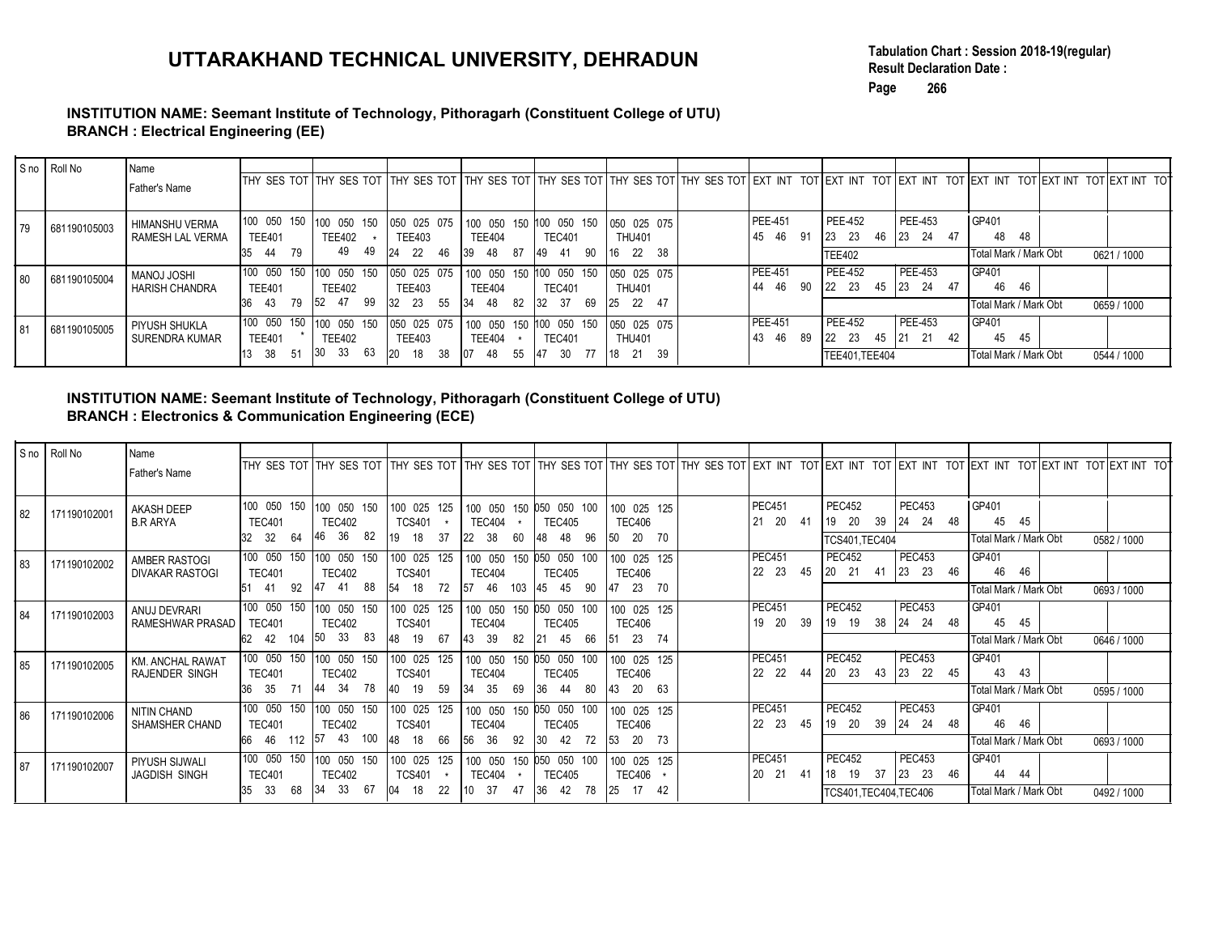### INSTITUTION NAME: Seemant Institute of Technology, Pithoragarh (Constituent College of UTU) BRANCH : Electrical Engineering (EE)

|    |              | INSTITUTION NAME: Seemant Institute of Technology, Pithoragarh (Constituent College of UTU)<br><b>BRANCH: Electrical Engineering (EE)</b> |                                          |                                                  |                                   |                                                                  |                                                                  | UTTARAKHAND TECHNICAL UNIVERSITY, DEHRADUN                                                                                                                              |                       | Page                                | <b>Result Declaration Date:</b><br>266 | Tabulation Chart: Session 2018-19(regular)   |             |
|----|--------------|-------------------------------------------------------------------------------------------------------------------------------------------|------------------------------------------|--------------------------------------------------|-----------------------------------|------------------------------------------------------------------|------------------------------------------------------------------|-------------------------------------------------------------------------------------------------------------------------------------------------------------------------|-----------------------|-------------------------------------|----------------------------------------|----------------------------------------------|-------------|
|    |              |                                                                                                                                           |                                          |                                                  |                                   |                                                                  |                                                                  |                                                                                                                                                                         |                       |                                     |                                        |                                              |             |
|    | S no Roll No | Name<br>Father's Name                                                                                                                     |                                          |                                                  |                                   |                                                                  |                                                                  | THY SES TOT THY SES TOT THY SES TOT THY SES TOT THY SES TOT THY SES TOT THY SES TOT EXT INT TOT EXT INT TOT EXT INT TOT EXT INT TOT EXT INT TOT EXT INT TOT EXT INT TOT |                       |                                     |                                        |                                              |             |
| 79 | 681190105003 | HIMANSHU VERMA<br>RAMESH LAL VERMA                                                                                                        | 100 050 150<br><b>TEE401</b><br>35 44 79 | 100 050 150<br><b>TEE402</b><br>$\star$<br>49 49 | <b>TEE403</b><br>24 22 46         | 050 025 075 100 050 150 100 050 150<br><b>TEE404</b><br>39 48 87 | <b>TEC401</b><br>49 41 90                                        | 050 025 075<br><b>THU401</b><br>16 22 38                                                                                                                                | PEE-451<br>45  46  91 | PEE-452<br>23 23<br><b>TEE402</b>   | PEE-453<br>46 23 24 47                 | GP401<br>48 48<br>Total Mark / Mark Obt      | 0621 / 1000 |
| 80 | 681190105004 | <b>IH2OL LONAM</b><br><b>HARISH CHANDRA</b>                                                                                               | 100 050 150<br><b>TEE401</b><br>36 43 79 | 100 050 150<br><b>TEE402</b><br>52 47 99         | TEE403<br>32 23 55                | <b>TEE404</b><br>34 48 82                                        | 050 025 075 100 050 150 100 050 150<br><b>TEC401</b><br>32 37 69 | 050 025 075<br><b>THU401</b><br>$ 25 \t22 \t47$                                                                                                                         | PEE-451<br>44  46  90 | <b>PEE-452</b><br>22 23 45 23 24 47 | PEE-453                                | GP401<br>46<br>- 46<br>Fotal Mark / Mark Obt | 0659 / 1000 |
| 81 | 681190105005 | PIYUSH SHUKLA<br>SURENDRA KUMAR                                                                                                           | 100 050 150<br><b>TEE401</b><br>13 38 51 | 100 050 150<br><b>TEE402</b><br>30 33 63         | 050 025 075<br>TEE403<br>20 18 38 | 100 050 150<br><b>TEE404</b><br>07 48 55                         | 100 050 150<br><b>TEC401</b><br>47 30 77                         | 050 025 075<br><b>THU401</b><br>18 21 39                                                                                                                                | PEE-451<br>43 46 89   | PEE-452<br>TEE401,TEE404            | PEE-453                                | GP401<br>45 45<br>Total Mark / Mark Obt      | 0544 / 1000 |

#### INSTITUTION NAME: Seemant Institute of Technology, Pithoragarh (Constituent College of UTU) BRANCH : Electronics & Communication Engineering (ECE)

|      | S no Roll No | Name                                                                                                                                                                    |                                     |                                          |                                                                         |                                                                                             |                         |                              |                            |                                                       |                                                               |                                                                                                                                                                                                 |             |
|------|--------------|-------------------------------------------------------------------------------------------------------------------------------------------------------------------------|-------------------------------------|------------------------------------------|-------------------------------------------------------------------------|---------------------------------------------------------------------------------------------|-------------------------|------------------------------|----------------------------|-------------------------------------------------------|---------------------------------------------------------------|-------------------------------------------------------------------------------------------------------------------------------------------------------------------------------------------------|-------------|
|      |              | Father's Name                                                                                                                                                           |                                     |                                          |                                                                         |                                                                                             |                         |                              |                            |                                                       |                                                               | THY SES TOT THY SES TOT THY SES TOT THY SES TOT THY SES TOT THY SES TOT THY SES TOT EXT INT TOT EXT INT TOT EXT INT TOT EXT INT TOT EXT INT TOT EXT INT TOT EXT INT TOT EXT INT TOT             |             |
| 79   | 681190105003 | HIMANSHU VERMA<br>RAMESH LAL VERMA                                                                                                                                      | <b>TEE401</b>                       | 100 050 150 100 050 150<br><b>TEE402</b> | 050 025 075<br><b>TEE403</b>                                            | 100 050 150 100 050 150<br><b>TEE404</b>                                                    | <b>TEC401</b>           | 050 025 075<br><b>THU401</b> | <b>PEE-451</b><br>45 46 91 | <b>PEE-452</b><br>23 23                               | PEE-453<br>46 23 24 47                                        | GP401<br>48 48                                                                                                                                                                                  |             |
|      |              |                                                                                                                                                                         | 35 44 79                            | 49 49                                    | 24 22 46                                                                | 39 48 87                                                                                    | 49 41 90                | 16 22 38                     |                            | <b>TEE402</b>                                         |                                                               | Total Mark / Mark Obt                                                                                                                                                                           | 0621/1000   |
| 80   | 681190105004 | MANOJ JOSHI                                                                                                                                                             |                                     | 100 050 150 100 050 150                  | 050 025 075                                                             | 100 050 150 100 050 150                                                                     |                         | 050 025 075                  | PEE-451                    | PEE-452                                               | PEE-453                                                       | GP401                                                                                                                                                                                           |             |
|      |              | HARISH CHANDRA                                                                                                                                                          | <b>TEE401</b>                       | <b>TEE402</b>                            | <b>TEE403</b>                                                           | <b>TEE404</b>                                                                               | <b>TEC401</b>           | <b>THU401</b>                | 44  46  90                 | 22 23                                                 | 45 23 24 47                                                   | 46 46                                                                                                                                                                                           |             |
|      |              |                                                                                                                                                                         | 36 43 79 52 47 99                   |                                          | 32 23 55                                                                | $\begin{vmatrix} 34 & 48 & 82 \end{vmatrix}$ 32 37 69                                       |                         | 25 22 47                     |                            |                                                       |                                                               | Total Mark / Mark Obt                                                                                                                                                                           | 0659 / 1000 |
| l 81 | 681190105005 | PIYUSH SHUKLA                                                                                                                                                           |                                     | 100 050 150 100 050 150                  | 050 025 075                                                             | 100 050 150 100 050 150                                                                     |                         | 050 025 075                  | <b>PEE-451</b>             | <b>PEE-452</b>                                        | $PEE-453$                                                     | GP401                                                                                                                                                                                           |             |
|      |              | <b>SURENDRA KUMAR</b>                                                                                                                                                   | <b>TEE401</b>                       | <b>TEE402</b>                            | <b>TEE403</b>                                                           | <b>TEE404</b>                                                                               | <b>TEC401</b>           | <b>THU401</b>                | 43 46 89                   | $\begin{vmatrix} 22 & 23 \end{vmatrix}$               | 45 21 21 42                                                   | 45<br>45                                                                                                                                                                                        |             |
|      |              |                                                                                                                                                                         | 13 38 51                            | 30 33 63                                 | $\begin{vmatrix} 20 & 18 & 38 \end{vmatrix}$ 07 48 55 47 30 77 18 21 39 |                                                                                             |                         |                              |                            | TEE401,TEE404                                         |                                                               | Total Mark / Mark Obt                                                                                                                                                                           | 0544 / 1000 |
|      | S no Roll No | INSTITUTION NAME: Seemant Institute of Technology, Pithoragarh (Constituent College of UTU)<br><b>BRANCH: Electronics &amp; Communication Engineering (ECE)</b><br>Name |                                     |                                          |                                                                         |                                                                                             |                         |                              |                            |                                                       |                                                               |                                                                                                                                                                                                 |             |
|      |              | Father's Name                                                                                                                                                           |                                     |                                          |                                                                         |                                                                                             |                         |                              |                            |                                                       |                                                               | THY SES TOT THY SES TOT THY SES TOT THY SES TOT THY SES TOT THY SES TOT THY SES TOT EXT INT TOT EXT INT TOT EXT INT TOT EXT INT TOT EXT INT TOT EXT INT TOT EXT INT TOT EXT INT TOT EXT INT TOT |             |
| 82   | 171190102001 | <b>AKASH DEEP</b>                                                                                                                                                       |                                     | 100 050 150 100 050 150                  | 100 025 125                                                             | 100 050 150 050 050 100                                                                     |                         | 100 025 125                  | <b>PEC451</b>              | <b>PEC452</b>                                         | <b>PEC453</b>                                                 | GP401                                                                                                                                                                                           |             |
|      |              | <b>B.R ARYA</b>                                                                                                                                                         | <b>TEC401</b>                       | <b>TEC402</b>                            | <b>TCS401</b>                                                           | <b>TEC404</b>                                                                               | <b>TEC405</b>           | <b>TEC406</b>                | 21  20  41                 | $\begin{vmatrix} 19 & 20 & 39 \end{vmatrix}$ 24 24 48 |                                                               | 45 45                                                                                                                                                                                           |             |
|      |              |                                                                                                                                                                         | 32 32 64                            | 46 36 82                                 | 19 18 37                                                                | 22 38 60                                                                                    | 48 48 96                | 50 20 70                     |                            | <b>TCS401, TEC404</b>                                 |                                                               | Total Mark / Mark Obt                                                                                                                                                                           | 0582 / 1000 |
| 83   | 171190102002 | AMBER RASTOGI                                                                                                                                                           |                                     | 100 050 150 100 050 150                  | 100 025 125                                                             | 100 050 150 050 050 100                                                                     |                         | 100 025 125                  | <b>PEC451</b><br>22 23 45  | <b>PEC452</b><br>20 21<br>41                          | $\overline{PEC453}$<br>23 23 46                               | GP401<br>46 46                                                                                                                                                                                  |             |
|      |              | <b>DIVAKAR RASTOGI</b>                                                                                                                                                  | <b>TEC401</b><br>51 41 92 47 41 88  | <b>TEC402</b>                            | <b>TCS401</b><br> 54 18 72   57 46 103   45 45 90                       | <b>TEC404</b>                                                                               | <b>TEC405</b>           | <b>TEC406</b><br>47 23 70    |                            |                                                       |                                                               | Total Mark / Mark Obt                                                                                                                                                                           | 0693 / 1000 |
|      |              |                                                                                                                                                                         |                                     | 100 050 150 100 050 150                  | 100 025 125                                                             |                                                                                             | 100 050 150 050 050 100 |                              | <b>PEC451</b>              | <b>PEC452</b>                                         | <b>PEC453</b>                                                 | GP401                                                                                                                                                                                           |             |
|      | 171190102003 | ANUJ DEVRARI                                                                                                                                                            |                                     |                                          |                                                                         |                                                                                             |                         | 100 025 125                  |                            |                                                       |                                                               |                                                                                                                                                                                                 |             |
| 84   |              |                                                                                                                                                                         |                                     |                                          |                                                                         |                                                                                             |                         |                              |                            |                                                       |                                                               | 45 45                                                                                                                                                                                           |             |
|      |              | RAMESHWAR PRASAD                                                                                                                                                        | <b>TEC401</b><br>62 42 104 50 33 83 | <b>TEC402</b>                            | <b>TCS401</b><br>48 19 67                                               | <b>TEC404</b><br>43 39 82 21 45 66                                                          | <b>TEC405</b>           | <b>TEC406</b><br>51 23 74    | 19 20 39                   | 19 19 38 24 24 48                                     |                                                               | Total Mark / Mark Obt                                                                                                                                                                           | 0646 / 1000 |
|      |              |                                                                                                                                                                         |                                     | 100 050 150 100 050 150                  |                                                                         |                                                                                             |                         |                              | <b>PEC451</b>              | <b>PEC452</b>                                         | PEC453                                                        | GP401                                                                                                                                                                                           |             |
| 85   | 171190102005 | KM. ANCHAL RAWAT<br><b>RAJENDER SINGH</b>                                                                                                                               | <b>TEC401</b>                       | <b>TEC402</b>                            | 100 025 125<br><b>TCS401</b>                                            | 100 050 150 050 050 100<br><b>TEC404</b>                                                    | <b>TEC405</b>           | 100 025 125<br><b>TEC406</b> | 22 22 44                   | 20 23 43 23 22 45                                     |                                                               | 43 43                                                                                                                                                                                           |             |
|      |              |                                                                                                                                                                         |                                     | 36 35 71 44 34 78                        | 40 19 59                                                                | $\begin{array}{ l c c c c c c c c } \hline 34 & 35 & 69 & 36 & 44 & 80 \hline \end{array}$  |                         | 43 20 63                     |                            |                                                       |                                                               | Total Mark / Mark Obt                                                                                                                                                                           | 0595 / 1000 |
|      | 171190102006 | NITIN CHAND                                                                                                                                                             |                                     | 100 050 150 100 050 150                  | 100 025 125                                                             | 100 050 150 050 050 100                                                                     |                         | 100 025 125                  | <b>PEC451</b>              | <b>PEC452</b>                                         | <b>PEC453</b>                                                 | GP401                                                                                                                                                                                           |             |
| 86   |              | SHAMSHER CHAND                                                                                                                                                          | <b>TEC401</b>                       | <b>TEC402</b>                            | <b>TCS401</b>                                                           | <b>TEC404</b>                                                                               | <b>TEC405</b>           | <b>TEC406</b>                | 22 23 45                   | 19 20<br>39                                           | $\begin{array}{ c c c c }\n\hline\n24 & 24 & 48\n\end{array}$ | 46 46                                                                                                                                                                                           |             |
|      |              |                                                                                                                                                                         |                                     |                                          | 66 46 112 57 43 100 48 18 66                                            | 56 36 92 30 42 72                                                                           |                         | 53 20 73                     |                            |                                                       |                                                               | Total Mark / Mark Obt                                                                                                                                                                           | 0693 / 1000 |
| 87   | 171190102007 | PIYUSH SIJWALI                                                                                                                                                          |                                     | 100 050 150 100 050 150                  | 100 025 125 100 050 150 050 050 100                                     |                                                                                             |                         | 100 025 125                  | <b>PEC451</b>              | <b>PEC452</b>                                         | PEC453                                                        | GP401                                                                                                                                                                                           |             |
|      |              | JAGDISH SINGH                                                                                                                                                           | <b>TEC401</b><br>35 33 68 34 33 67  | <b>TEC402</b>                            | <b>TCS401</b><br>04 18 22                                               | <b>TEC404</b><br>$\begin{vmatrix} 10 & 37 & 47 & 36 & 42 & 78 & 25 & 17 & 42 \end{vmatrix}$ | <b>TEC405</b>           | <b>TEC406</b>                | 20 21 41                   | 18 19 37<br>TCS401, TEC404, TEC406                    | 23 23 46                                                      | 44<br>-44<br>Total Mark / Mark Obt                                                                                                                                                              | 0492 / 1000 |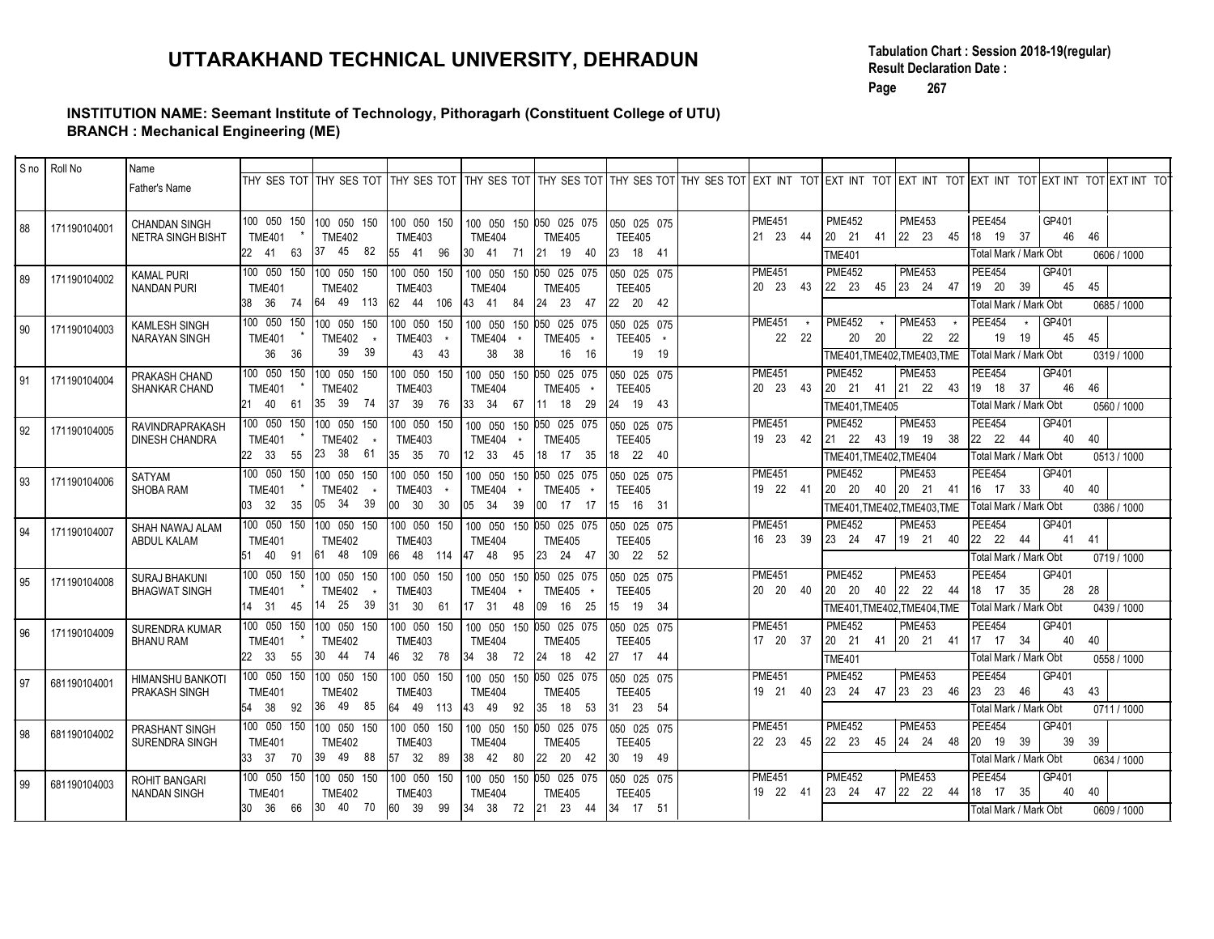### INSTITUTION NAME: Seemant Institute of Technology, Pithoragarh (Constituent College of UTU) BRANCH : Mechanical Engineering (ME)

|      |              |                                                  | UTTARAKHAND TECHNICAL UNIVERSITY, DEHRADUN<br>INSTITUTION NAME: Seemant Institute of Technology, Pithoragarh (Constituent College of UTU)                                                                              |                                          |                                                                                       |                                |                                                                              |                             | Page                                                                                     | <b>Result Declaration Date:</b><br>267                                                                      |                                                                                         | Tabulation Chart: Session 2018-19(regular) |             |
|------|--------------|--------------------------------------------------|------------------------------------------------------------------------------------------------------------------------------------------------------------------------------------------------------------------------|------------------------------------------|---------------------------------------------------------------------------------------|--------------------------------|------------------------------------------------------------------------------|-----------------------------|------------------------------------------------------------------------------------------|-------------------------------------------------------------------------------------------------------------|-----------------------------------------------------------------------------------------|--------------------------------------------|-------------|
|      |              | <b>BRANCH: Mechanical Engineering (ME)</b>       |                                                                                                                                                                                                                        |                                          |                                                                                       |                                |                                                                              |                             |                                                                                          |                                                                                                             |                                                                                         |                                            |             |
|      | S no Roll No | Name<br>Father's Name                            | THY SES TOT THY SES TOT THY SES TOT THY SES TOT THY SES TOT THY SES TOT THY SES TOT EXT INT TOT EXT INT TOT EXT INT TOT EXT INT TOT EXT INT TOT EXT INT TOT EXT INT TOT EXT INT TOT EXT INT TOT EXT INT TOT EXT INT TO |                                          |                                                                                       |                                |                                                                              |                             |                                                                                          |                                                                                                             |                                                                                         |                                            |             |
| 88   | 171190104001 | <b>CHANDAN SINGH</b><br><b>NETRA SINGH BISHT</b> | 100 050 150<br>100 050 150<br><b>TME401</b><br><b>TME402</b><br>45 82<br>37<br>22 41 63                                                                                                                                | 100 050 150<br><b>TME403</b><br>55 41 96 | 100 050 150 050 025 075<br><b>TME404</b><br>30 41 71                                  | <b>TME405</b><br>21 19 40      | 050 025 075<br><b>TEE405</b><br>$123$ 18 41                                  | <b>PME451</b><br>21  23  44 | <b>PME452</b><br>$\begin{vmatrix} 20 & 21 \end{vmatrix}$<br>41<br><b>TME401</b>          | <b>PME453</b><br>22 23 45                                                                                   | PEE454<br>18 19 37<br>Total Mark / Mark Obt                                             | GP401<br>46<br>46                          | 0606 / 1000 |
| 89   | 171190104002 | Kamal Puri<br><b>NANDAN PURI</b>                 | 100 050 150<br>100 050 150<br><b>TME401</b><br><b>TME402</b><br>64 49 113 62 44 106 43 41 84<br>38 36 74                                                                                                               | 100 050 150<br><b>TME403</b>             | 100 050 150 050 025 075<br><b>TME404</b>                                              | <b>TME405</b><br>24 23 47      | 050 025 075<br><b>TEE405</b><br>22 20 42                                     | <b>PME451</b><br>20 23 43   | <b>PME452</b>                                                                            | <b>PME453</b><br>$\begin{array}{ c c c c c c c c } \hline 22 & 23 & 45 & 23 & 24 & 47 \ \hline \end{array}$ | <b>PEE454</b><br>19 20 39<br>Fotal Mark / Mark Obt                                      | GP401<br>45<br>45                          | 0685 / 1000 |
| 90   | 171190104003 | <b>KAMLESH SINGH</b><br><b>NARAYAN SINGH</b>     | 100 050 150<br>100 050 150<br><b>TME401</b><br><b>TME402</b><br>39 39<br>36 36                                                                                                                                         | 100 050 150<br><b>TME403</b><br>43 43    | 100 050 150<br><b>TME404</b><br>38 38                                                 | 050 025 075<br>TME405<br>16 16 | 050 025 075<br>TEE405 *<br>19 19                                             | <b>PME451</b><br>22 22      | <b>PME452</b><br>20<br>20                                                                | <b>PME453</b><br>22 22<br>TME401, TME402, TME403, TME                                                       | <b>PEE454</b><br>19<br>19<br>Total Mark / Mark Obt                                      | GP401<br>45<br>45                          | 0319 / 1000 |
| l 91 | 171190104004 | PRAKASH CHAND<br><b>SHANKAR CHAND</b>            | 100 050 150<br>100 050 150<br><b>TME401</b><br><b>TME402</b><br>35 39 74<br>21 40 61                                                                                                                                   | 100 050 150<br><b>TME403</b><br>37 39 76 | 100 050 150 050 025 075<br><b>TME404</b><br>33 34 67                                  | <b>TME405</b><br>11 18 29      | 050 025 075<br><b>TEE405</b><br>$\begin{bmatrix} 24 & 19 & 43 \end{bmatrix}$ | <b>PME451</b><br>20 23 43   | <b>PME452</b><br>$\begin{bmatrix} 20 & 21 & 41 \end{bmatrix}$<br>TME401, TME405          | <b>PME453</b><br>21 22 43                                                                                   | <b>PEE454</b><br>19 18 37<br>Total Mark / Mark Obt                                      | GP401<br>46<br>46                          | 0560 / 1000 |
| 92   | 171190104005 | RAVINDRAPRAKASH<br><b>DINESH CHANDRA</b>         | 100 050 150<br>100 050 150<br><b>TME401</b><br><b>TME402</b><br>23 38 61<br>22 33 55                                                                                                                                   | 100 050 150<br><b>TME403</b>             | 100 050 150 050 025 075<br><b>TME404</b><br> 35 35 70  12 33 45  18 17 35  18 22 40   | <b>TME405</b>                  | 050 025 075<br><b>TEE405</b>                                                 | <b>PME451</b><br>19 23 42   | <b>PME452</b><br>$\begin{vmatrix} 21 & 22 \end{vmatrix}$<br>43<br>TME401, TME402, TME404 | <b>PME453</b><br>19 19 38                                                                                   | <b>PEE454</b><br>$\begin{vmatrix} 22 & 22 \end{vmatrix}$<br>44<br>Total Mark / Mark Obt | GP401<br>40<br>40                          | 0513 / 1000 |
| 93   | 171190104006 | SATYAM<br>SHOBA RAM                              | 100 050 150 100 050 150 100 050 150<br><b>TME401</b><br>TME402 *<br>03 32 35 05 34 39                                                                                                                                  | <b>TME403</b><br>$ 00 \t30 \t30$         | 100 050 150 050 025 075 050 025 075<br><b>TME404</b><br> 05 34 39  00 17 17  15 16 31 | TME405 *                       | <b>TEE405</b>                                                                | <b>PME451</b><br>19 22 41   | <b>PME452</b>                                                                            | <b>PME453</b><br>TME401, TME402, TME403, TME                                                                | <b>PEE454</b><br> 16 17 33<br>Total Mark / Mark Obt                                     | GP401<br>40 40                             | 0386 / 1000 |
| 94   | 171190104007 | SHAH NAWAJ ALAM<br>ABDUL KALAM                   | 100 050 150 100 050 150 100 050 150<br><b>TME401</b><br><b>TME402</b><br>51 40 91 61 48 109 66 48 114 47 48 95 23 24 47 30 22 52                                                                                       | <b>TME403</b>                            | 100 050 150 050 025 075   050 025 075<br><b>TME404</b>                                | <b>TME405</b>                  | <b>TEE405</b>                                                                | PME451<br>16 23 39          | <b>PME452</b>                                                                            | <b>PME453</b><br>$\begin{array}{ c c c c c c c c } \hline 23 & 24 & 47 & 19 & 21 & 40 \hline \end{array}$   | <b>PEE454</b><br>22 22 44<br>Total Mark / Mark Obt                                      | GP401<br>41 41                             | 0719 / 1000 |
| 95   | 171190104008 | SURAJ BHAKUNI<br><b>BHAGWAT SINGH</b>            | <b>TME401</b><br>TME402 *<br>14 31 45 14 25 39 31 30 61 17 31 48 09 16 25 15 19 34                                                                                                                                     | <b>TME403</b>                            | TME404 *                                                                              | TME405 *                       | <b>TEE405</b>                                                                | <b>PME451</b><br>20 20 40   | <b>PME452</b>                                                                            | PME453<br>TME401,TME402,TME404,TME                                                                          | <b>PEE454</b><br>18 17 35<br> Total Mark / Mark Obt                                     | GP401<br>28 28                             | 0439 / 1000 |
| 96   | 171190104009 | <b>SURENDRA KUMAR</b><br>BHANU RAM               | 100 050 150 100 050 150 100 050 150<br><b>TME401</b><br><b>TME402</b><br>22 33 55 30 44 74 46 32 78 34 38 72 24 18 42 27 17 44                                                                                         | <b>TME403</b>                            | 100 050 150 050 025 075   050 025 075<br><b>TME404</b>                                | <b>TME405</b>                  | <b>TEE405</b>                                                                | <b>PME451</b><br>17 20 37   | <b>PME452</b><br><b>TME401</b>                                                           | <b>PME453</b><br>$\begin{vmatrix} 20 & 21 & 41 \end{vmatrix}$ 20 21 41                                      | <b>PEE454</b><br>$\begin{vmatrix} 17 & 17 & 34 \end{vmatrix}$<br>Total Mark / Mark Obt  | GP401<br>40<br>40                          | 0558 / 1000 |
| l 97 | 681190104001 | HIMANSHU BANKOTI<br>PRAKASH SINGH                | <b>TME401</b><br><b>TME402</b><br>54 38 92 36 49 85 64 49 113 43 49 92 35 18 53 31 23 54                                                                                                                               | <b>TME403</b>                            | <b>TME404</b>                                                                         | <b>TME405</b>                  | <b>TEE405</b>                                                                | <b>PME451</b><br>19 21 40   | <b>PME452</b>                                                                            | <b>PME453</b><br>$\begin{array}{ c c c c c c c c } \hline 23 & 24 & 47 & 23 & 23 & 46 \hline \end{array}$   | PEE454<br>23 23 46<br>Total Mark / Mark Obt                                             | GP401<br>43 43                             | 0711/1000   |
| 98   | 681190104002 | PRASHANT SINGH<br>SURENDRA SINGH                 | 100 050 150 100 050 150 100 050 150<br><b>TME401</b><br><b>TME402</b><br>33 37 70 39 49 88 57 32 89 38 42 80 22 20 42 30 19 49                                                                                         | <b>TME403</b>                            | 100 050 150 050 025 075  050 025 075<br><b>TME404</b>                                 | <b>TME405</b>                  | <b>TEE405</b>                                                                | <b>PME451</b><br>22 23 45   | <b>PME452</b>                                                                            | <b>PME453</b><br>$\begin{array}{cccc} 22 & 23 & 45 & 24 & 24 & 48 \end{array}$                              | <b>PEE454</b><br>20 19 39<br>Total Mark / Mark Obt                                      | GP401<br>39 39                             | 0634 / 1000 |
| 99   | 681190104003 | ROHIT BANGARI<br>NANDAN SINGH                    | <b>TME402</b><br><b>TME401</b><br> 30 36 66  30 40 70  60 39 99  34 38 72  21 23 44  34 17 51                                                                                                                          | <b>TME403</b>                            | <b>TME404</b>                                                                         | TME405                         | TEE405                                                                       | <b>PME451</b><br>19 22 41   | <b>PME452</b>                                                                            | <b>PME453</b>                                                                                               | PEE454<br>18 17 35<br>Total Mark / Mark Obt                                             | GP401<br>40 40                             | 0609 / 1000 |